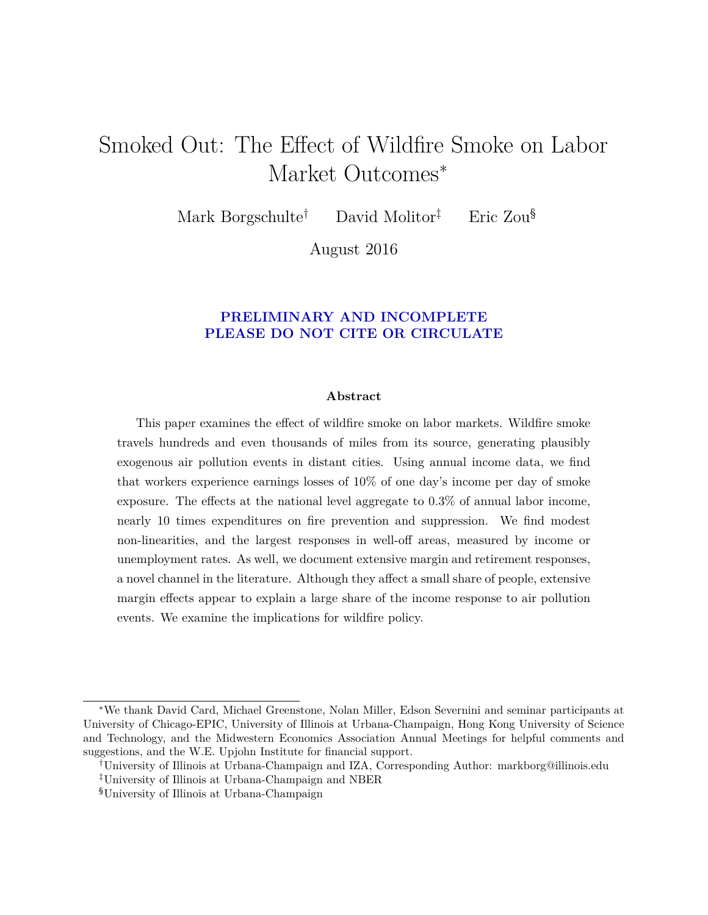# Smoked Out: The Effect of Wildfire Smoke on Labor Market Outcomes<sup>\*</sup>

Mark Borgschulte† David Molitor‡ Eric Zou§

August 2016

## **PRELIMINARY AND INCOMPLETE PLEASE DO NOT CITE OR CIRCULATE**

#### **Abstract**

This paper examines the effect of wildfire smoke on labor markets. Wildfire smoke travels hundreds and even thousands of miles from its source, generating plausibly exogenous air pollution events in distant cities. Using annual income data, we find that workers experience earnings losses of 10% of one day's income per day of smoke exposure. The effects at the national level aggregate to 0.3% of annual labor income, nearly 10 times expenditures on fire prevention and suppression. We find modest non-linearities, and the largest responses in well-off areas, measured by income or unemployment rates. As well, we document extensive margin and retirement responses, a novel channel in the literature. Although they affect a small share of people, extensive margin effects appear to explain a large share of the income response to air pollution events. We examine the implications for wildfire policy.

<sup>∗</sup>We thank David Card, Michael Greenstone, Nolan Miller, Edson Severnini and seminar participants at University of Chicago-EPIC, University of Illinois at Urbana-Champaign, Hong Kong University of Science and Technology, and the Midwestern Economics Association Annual Meetings for helpful comments and suggestions, and the W.E. Upjohn Institute for financial support.

<sup>†</sup>University of Illinois at Urbana-Champaign and IZA, Corresponding Author: markborg@illinois.edu

<sup>‡</sup>University of Illinois at Urbana-Champaign and NBER

<sup>§</sup>University of Illinois at Urbana-Champaign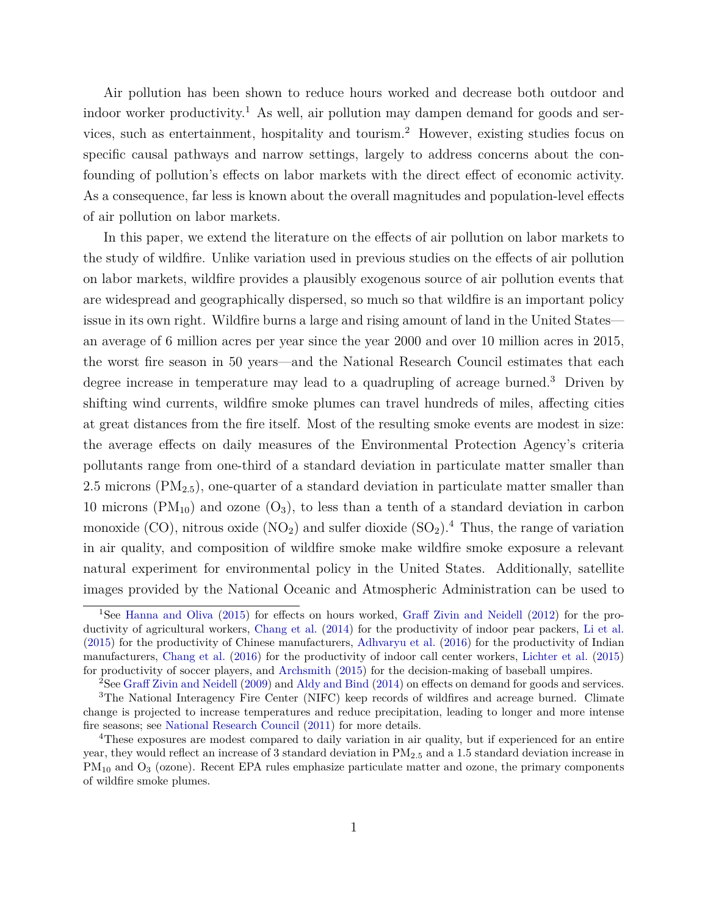Air pollution has been shown to reduce hours worked and decrease both outdoor and indoor worker productivity.<sup>1</sup> As well, air pollution may dampen demand for goods and services, such as entertainment, hospitality and tourism.<sup>2</sup> However, existing studies focus on specific causal pathways and narrow settings, largely to address concerns about the confounding of pollution's effects on labor markets with the direct effect of economic activity. As a consequence, far less is known about the overall magnitudes and population-level effects of air pollution on labor markets.

In this paper, we extend the literature on the effects of air pollution on labor markets to the study of wildfire. Unlike variation used in previous studies on the effects of air pollution on labor markets, wildfire provides a plausibly exogenous source of air pollution events that are widespread and geographically dispersed, so much so that wildfire is an important policy issue in its own right. Wildfire burns a large and rising amount of land in the United States an average of 6 million acres per year since the year 2000 and over 10 million acres in 2015, the worst fire season in 50 years—and the National Research Council estimates that each degree increase in temperature may lead to a quadrupling of acreage burned.<sup>3</sup> Driven by shifting wind currents, wildfire smoke plumes can travel hundreds of miles, affecting cities at great distances from the fire itself. Most of the resulting smoke events are modest in size: the average effects on daily measures of the Environmental Protection Agency's criteria pollutants range from one-third of a standard deviation in particulate matter smaller than 2.5 microns (PM<sub>2.5</sub>), one-quarter of a standard deviation in particulate matter smaller than 10 microns ( $PM_{10}$ ) and ozone ( $O_3$ ), to less than a tenth of a standard deviation in carbon monoxide (CO), nitrous oxide ( $NO<sub>2</sub>$ ) and sulfer dioxide  $(SO<sub>2</sub>)$ .<sup>4</sup> Thus, the range of variation in air quality, and composition of wildfire smoke make wildfire smoke exposure a relevant natural experiment for environmental policy in the United States. Additionally, satellite images provided by the National Oceanic and Atmospheric Administration can be used to

<sup>1</sup>See [Hanna and Oliva](#page-26-0) [\(2015\)](#page-26-0) for effects on hours worked, [Graff Zivin and Neidell](#page-26-1) [\(2012\)](#page-26-1) for the productivity of agricultural workers, [Chang et al.](#page-25-0) [\(2014\)](#page-25-0) for the productivity of indoor pear packers, [Li et al.](#page-27-0) [\(2015\)](#page-27-0) for the productivity of Chinese manufacturers, [Adhvaryu et al.](#page-24-0) [\(2016\)](#page-24-0) for the productivity of Indian manufacturers, [Chang et al.](#page-25-1) [\(2016\)](#page-25-1) for the productivity of indoor call center workers, [Lichter et al.](#page-27-1) [\(2015\)](#page-27-1) for productivity of soccer players, and [Archsmith](#page-25-2) [\(2015\)](#page-25-2) for the decision-making of baseball umpires.

<sup>2</sup>See [Graff Zivin and Neidell](#page-26-2) [\(2009\)](#page-26-2) and [Aldy and Bind](#page-24-1) [\(2014\)](#page-24-1) on effects on demand for goods and services.

<sup>&</sup>lt;sup>3</sup>The National Interagency Fire Center (NIFC) keep records of wildfires and acreage burned. Climate change is projected to increase temperatures and reduce precipitation, leading to longer and more intense fire seasons; see [National Research Council](#page-27-2) [\(2011\)](#page-27-2) for more details.

<sup>4</sup>These exposures are modest compared to daily variation in air quality, but if experienced for an entire year, they would reflect an increase of 3 standard deviation in PM2*.*<sup>5</sup> and a 1.5 standard deviation increase in PM<sub>10</sub> and O<sub>3</sub> (ozone). Recent EPA rules emphasize particulate matter and ozone, the primary components of wildfire smoke plumes.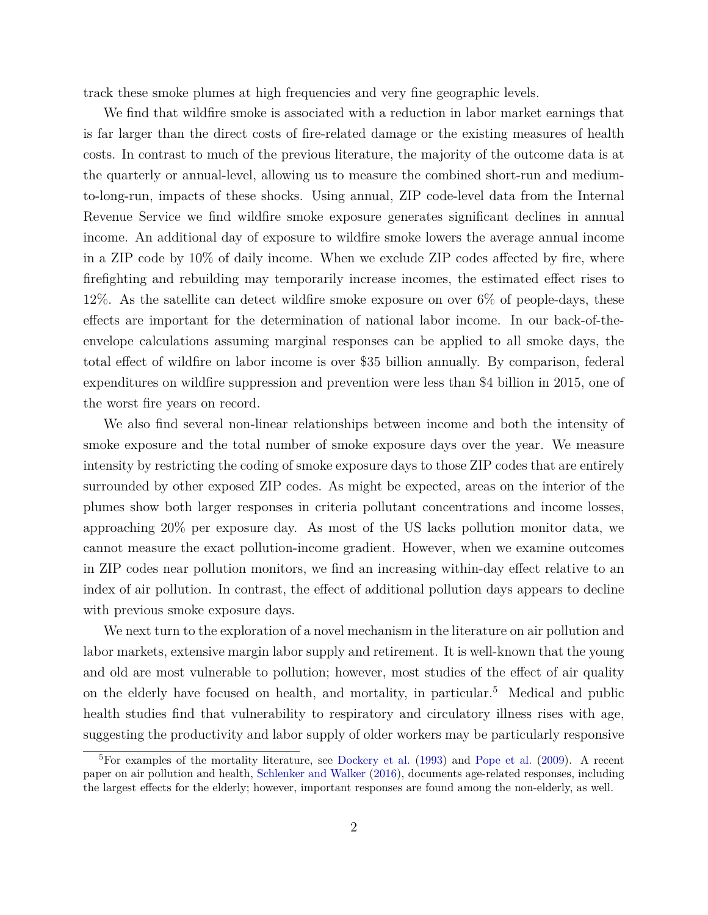track these smoke plumes at high frequencies and very fine geographic levels.

We find that wildfire smoke is associated with a reduction in labor market earnings that is far larger than the direct costs of fire-related damage or the existing measures of health costs. In contrast to much of the previous literature, the majority of the outcome data is at the quarterly or annual-level, allowing us to measure the combined short-run and mediumto-long-run, impacts of these shocks. Using annual, ZIP code-level data from the Internal Revenue Service we find wildfire smoke exposure generates significant declines in annual income. An additional day of exposure to wildfire smoke lowers the average annual income in a ZIP code by 10% of daily income. When we exclude ZIP codes affected by fire, where firefighting and rebuilding may temporarily increase incomes, the estimated effect rises to 12%. As the satellite can detect wildfire smoke exposure on over 6% of people-days, these effects are important for the determination of national labor income. In our back-of-theenvelope calculations assuming marginal responses can be applied to all smoke days, the total effect of wildfire on labor income is over \$35 billion annually. By comparison, federal expenditures on wildfire suppression and prevention were less than \$4 billion in 2015, one of the worst fire years on record.

We also find several non-linear relationships between income and both the intensity of smoke exposure and the total number of smoke exposure days over the year. We measure intensity by restricting the coding of smoke exposure days to those ZIP codes that are entirely surrounded by other exposed ZIP codes. As might be expected, areas on the interior of the plumes show both larger responses in criteria pollutant concentrations and income losses, approaching 20% per exposure day. As most of the US lacks pollution monitor data, we cannot measure the exact pollution-income gradient. However, when we examine outcomes in ZIP codes near pollution monitors, we find an increasing within-day effect relative to an index of air pollution. In contrast, the effect of additional pollution days appears to decline with previous smoke exposure days.

We next turn to the exploration of a novel mechanism in the literature on air pollution and labor markets, extensive margin labor supply and retirement. It is well-known that the young and old are most vulnerable to pollution; however, most studies of the effect of air quality on the elderly have focused on health, and mortality, in particular.<sup>5</sup> Medical and public health studies find that vulnerability to respiratory and circulatory illness rises with age, suggesting the productivity and labor supply of older workers may be particularly responsive

 ${}^{5}$ For examples of the mortality literature, see [Dockery et al.](#page-26-3) [\(1993\)](#page-26-3) and [Pope et al.](#page-27-3) [\(2009\)](#page-27-3). A recent paper on air pollution and health, [Schlenker and Walker](#page-28-0) [\(2016\)](#page-28-0), documents age-related responses, including the largest effects for the elderly; however, important responses are found among the non-elderly, as well.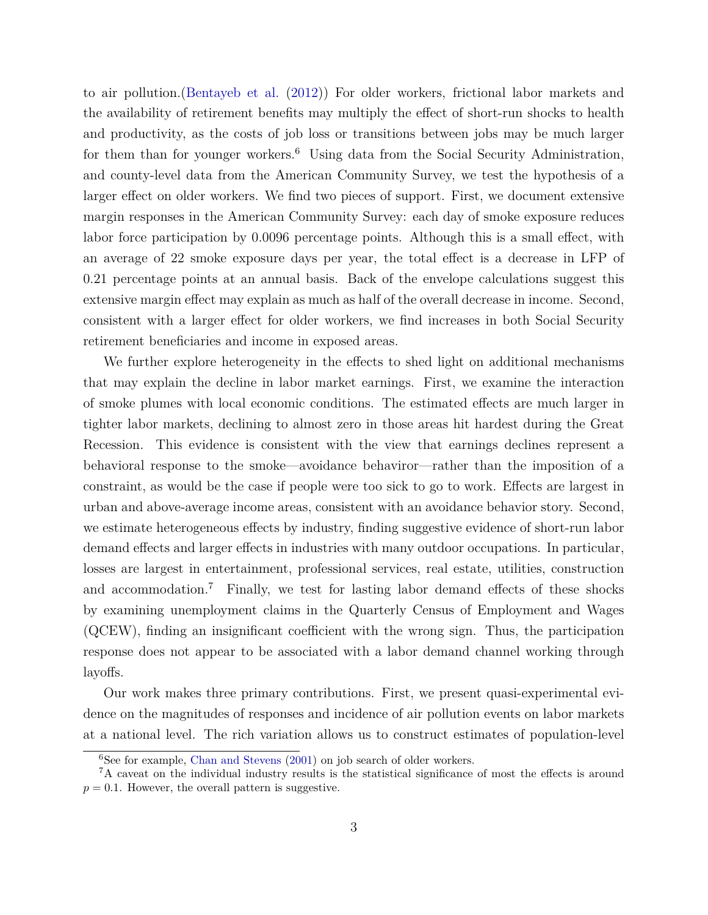to air pollution.[\(Bentayeb et al.](#page-25-3) [\(2012\)](#page-25-3)) For older workers, frictional labor markets and the availability of retirement benefits may multiply the effect of short-run shocks to health and productivity, as the costs of job loss or transitions between jobs may be much larger for them than for younger workers.<sup>6</sup> Using data from the Social Security Administration, and county-level data from the American Community Survey, we test the hypothesis of a larger effect on older workers. We find two pieces of support. First, we document extensive margin responses in the American Community Survey: each day of smoke exposure reduces labor force participation by 0.0096 percentage points. Although this is a small effect, with an average of 22 smoke exposure days per year, the total effect is a decrease in LFP of 0.21 percentage points at an annual basis. Back of the envelope calculations suggest this extensive margin effect may explain as much as half of the overall decrease in income. Second, consistent with a larger effect for older workers, we find increases in both Social Security retirement beneficiaries and income in exposed areas.

We further explore heterogeneity in the effects to shed light on additional mechanisms that may explain the decline in labor market earnings. First, we examine the interaction of smoke plumes with local economic conditions. The estimated effects are much larger in tighter labor markets, declining to almost zero in those areas hit hardest during the Great Recession. This evidence is consistent with the view that earnings declines represent a behavioral response to the smoke—avoidance behaviror—rather than the imposition of a constraint, as would be the case if people were too sick to go to work. Effects are largest in urban and above-average income areas, consistent with an avoidance behavior story. Second, we estimate heterogeneous effects by industry, finding suggestive evidence of short-run labor demand effects and larger effects in industries with many outdoor occupations. In particular, losses are largest in entertainment, professional services, real estate, utilities, construction and accommodation.<sup>7</sup> Finally, we test for lasting labor demand effects of these shocks by examining unemployment claims in the Quarterly Census of Employment and Wages (QCEW), finding an insignificant coefficient with the wrong sign. Thus, the participation response does not appear to be associated with a labor demand channel working through layoffs.

Our work makes three primary contributions. First, we present quasi-experimental evidence on the magnitudes of responses and incidence of air pollution events on labor markets at a national level. The rich variation allows us to construct estimates of population-level

<sup>&</sup>lt;sup>6</sup>See for example, [Chan and Stevens](#page-25-4) [\(2001\)](#page-25-4) on job search of older workers.

<sup>&</sup>lt;sup>7</sup>A caveat on the individual industry results is the statistical significance of most the effects is around  $p = 0.1$ . However, the overall pattern is suggestive.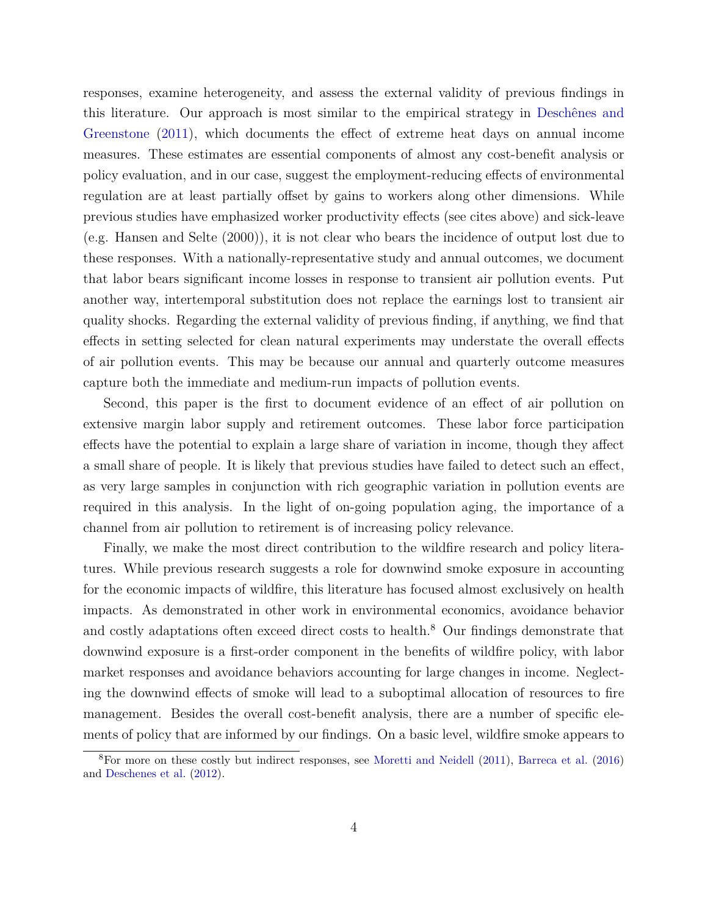responses, examine heterogeneity, and assess the external validity of previous findings in this literature. Our approach is most similar to the empirical strategy in [Deschênes and](#page-25-5) [Greenstone](#page-25-5) [\(2011\)](#page-25-5), which documents the effect of extreme heat days on annual income measures. These estimates are essential components of almost any cost-benefit analysis or policy evaluation, and in our case, suggest the employment-reducing effects of environmental regulation are at least partially offset by gains to workers along other dimensions. While previous studies have emphasized worker productivity effects (see cites above) and sick-leave (e.g. Hansen and Selte (2000)), it is not clear who bears the incidence of output lost due to these responses. With a nationally-representative study and annual outcomes, we document that labor bears significant income losses in response to transient air pollution events. Put another way, intertemporal substitution does not replace the earnings lost to transient air quality shocks. Regarding the external validity of previous finding, if anything, we find that effects in setting selected for clean natural experiments may understate the overall effects of air pollution events. This may be because our annual and quarterly outcome measures capture both the immediate and medium-run impacts of pollution events.

Second, this paper is the first to document evidence of an effect of air pollution on extensive margin labor supply and retirement outcomes. These labor force participation effects have the potential to explain a large share of variation in income, though they affect a small share of people. It is likely that previous studies have failed to detect such an effect, as very large samples in conjunction with rich geographic variation in pollution events are required in this analysis. In the light of on-going population aging, the importance of a channel from air pollution to retirement is of increasing policy relevance.

Finally, we make the most direct contribution to the wildfire research and policy literatures. While previous research suggests a role for downwind smoke exposure in accounting for the economic impacts of wildfire, this literature has focused almost exclusively on health impacts. As demonstrated in other work in environmental economics, avoidance behavior and costly adaptations often exceed direct costs to health.<sup>8</sup> Our findings demonstrate that downwind exposure is a first-order component in the benefits of wildfire policy, with labor market responses and avoidance behaviors accounting for large changes in income. Neglecting the downwind effects of smoke will lead to a suboptimal allocation of resources to fire management. Besides the overall cost-benefit analysis, there are a number of specific elements of policy that are informed by our findings. On a basic level, wildfire smoke appears to

<sup>8</sup>For more on these costly but indirect responses, see [Moretti and Neidell](#page-27-4) [\(2011\)](#page-27-4), [Barreca et al.](#page-25-6) [\(2016\)](#page-25-6) and [Deschenes et al.](#page-26-4) [\(2012\)](#page-26-4).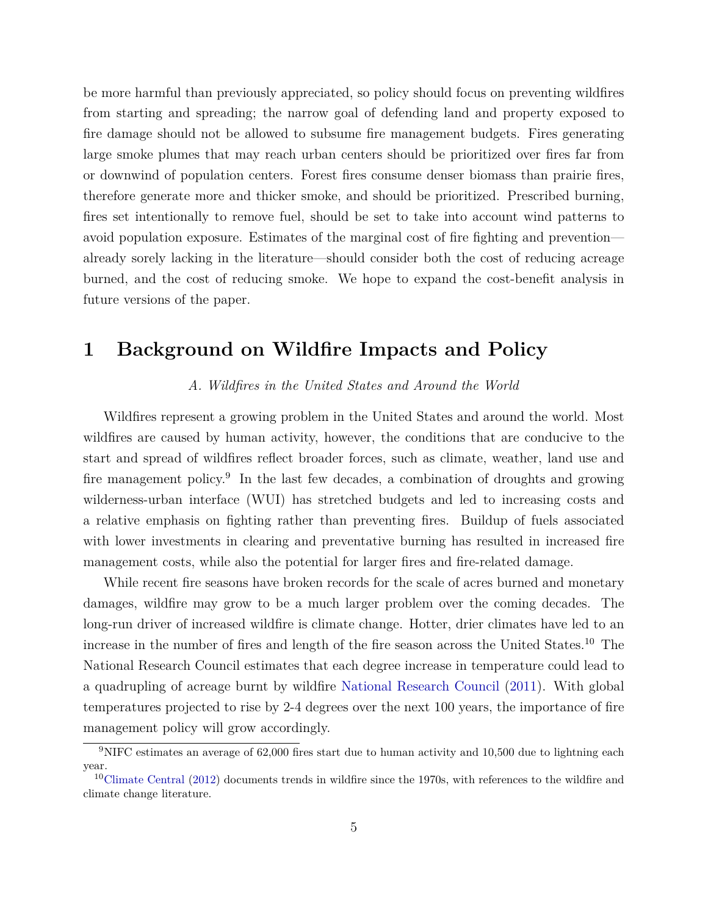be more harmful than previously appreciated, so policy should focus on preventing wildfires from starting and spreading; the narrow goal of defending land and property exposed to fire damage should not be allowed to subsume fire management budgets. Fires generating large smoke plumes that may reach urban centers should be prioritized over fires far from or downwind of population centers. Forest fires consume denser biomass than prairie fires, therefore generate more and thicker smoke, and should be prioritized. Prescribed burning, fires set intentionally to remove fuel, should be set to take into account wind patterns to avoid population exposure. Estimates of the marginal cost of fire fighting and prevention already sorely lacking in the literature—should consider both the cost of reducing acreage burned, and the cost of reducing smoke. We hope to expand the cost-benefit analysis in future versions of the paper.

## **1 Background on Wildfire Impacts and Policy**

#### *A. Wildfires in the United States and Around the World*

Wildfires represent a growing problem in the United States and around the world. Most wildfires are caused by human activity, however, the conditions that are conducive to the start and spread of wildfires reflect broader forces, such as climate, weather, land use and fire management policy.<sup>9</sup> In the last few decades, a combination of droughts and growing wilderness-urban interface (WUI) has stretched budgets and led to increasing costs and a relative emphasis on fighting rather than preventing fires. Buildup of fuels associated with lower investments in clearing and preventative burning has resulted in increased fire management costs, while also the potential for larger fires and fire-related damage.

While recent fire seasons have broken records for the scale of acres burned and monetary damages, wildfire may grow to be a much larger problem over the coming decades. The long-run driver of increased wildfire is climate change. Hotter, drier climates have led to an increase in the number of fires and length of the fire season across the United States.<sup>10</sup> The National Research Council estimates that each degree increase in temperature could lead to a quadrupling of acreage burnt by wildfire [National Research Council](#page-27-2) [\(2011\)](#page-27-2). With global temperatures projected to rise by 2-4 degrees over the next 100 years, the importance of fire management policy will grow accordingly.

<sup>&</sup>lt;sup>9</sup>NIFC estimates an average of 62,000 fires start due to human activity and 10,500 due to lightning each year.

<sup>10</sup>[Climate Central](#page-25-7) [\(2012\)](#page-25-7) documents trends in wildfire since the 1970s, with references to the wildfire and climate change literature.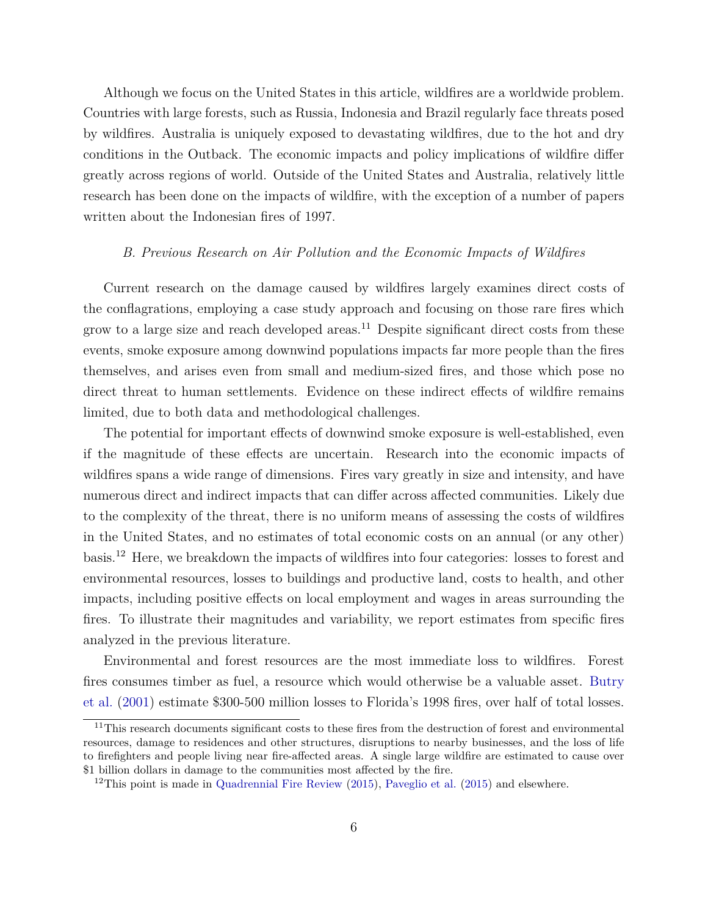Although we focus on the United States in this article, wildfires are a worldwide problem. Countries with large forests, such as Russia, Indonesia and Brazil regularly face threats posed by wildfires. Australia is uniquely exposed to devastating wildfires, due to the hot and dry conditions in the Outback. The economic impacts and policy implications of wildfire differ greatly across regions of world. Outside of the United States and Australia, relatively little research has been done on the impacts of wildfire, with the exception of a number of papers written about the Indonesian fires of 1997.

#### *B. Previous Research on Air Pollution and the Economic Impacts of Wildfires*

Current research on the damage caused by wildfires largely examines direct costs of the conflagrations, employing a case study approach and focusing on those rare fires which grow to a large size and reach developed areas.<sup>11</sup> Despite significant direct costs from these events, smoke exposure among downwind populations impacts far more people than the fires themselves, and arises even from small and medium-sized fires, and those which pose no direct threat to human settlements. Evidence on these indirect effects of wildfire remains limited, due to both data and methodological challenges.

The potential for important effects of downwind smoke exposure is well-established, even if the magnitude of these effects are uncertain. Research into the economic impacts of wildfires spans a wide range of dimensions. Fires vary greatly in size and intensity, and have numerous direct and indirect impacts that can differ across affected communities. Likely due to the complexity of the threat, there is no uniform means of assessing the costs of wildfires in the United States, and no estimates of total economic costs on an annual (or any other) basis.<sup>12</sup> Here, we breakdown the impacts of wildfires into four categories: losses to forest and environmental resources, losses to buildings and productive land, costs to health, and other impacts, including positive effects on local employment and wages in areas surrounding the fires. To illustrate their magnitudes and variability, we report estimates from specific fires analyzed in the previous literature.

Environmental and forest resources are the most immediate loss to wildfires. Forest fires consumes timber as fuel, a resource which would otherwise be a valuable asset. [Butry](#page-25-8) [et al.](#page-25-8) [\(2001\)](#page-25-8) estimate \$300-500 million losses to Florida's 1998 fires, over half of total losses.

<sup>&</sup>lt;sup>11</sup>This research documents significant costs to these fires from the destruction of forest and environmental resources, damage to residences and other structures, disruptions to nearby businesses, and the loss of life to firefighters and people living near fire-affected areas. A single large wildfire are estimated to cause over \$1 billion dollars in damage to the communities most affected by the fire.

<sup>&</sup>lt;sup>12</sup>This point is made in [Quadrennial Fire Review](#page-28-1)  $(2015)$ , [Paveglio et al.](#page-27-5)  $(2015)$  and elsewhere.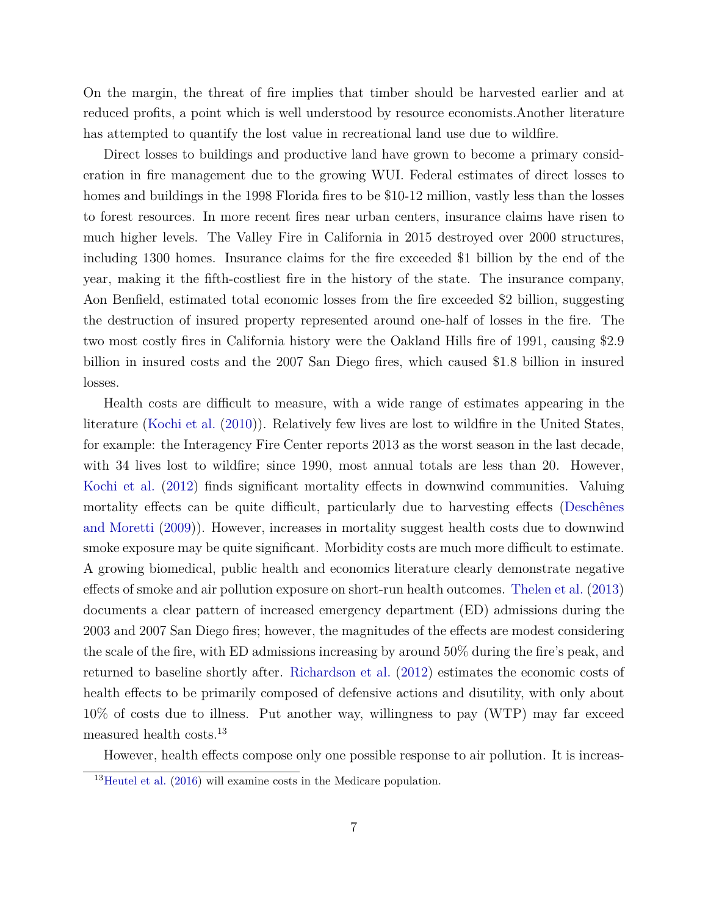On the margin, the threat of fire implies that timber should be harvested earlier and at reduced profits, a point which is well understood by resource economists.Another literature has attempted to quantify the lost value in recreational land use due to wildfire.

Direct losses to buildings and productive land have grown to become a primary consideration in fire management due to the growing WUI. Federal estimates of direct losses to homes and buildings in the 1998 Florida fires to be \$10-12 million, vastly less than the losses to forest resources. In more recent fires near urban centers, insurance claims have risen to much higher levels. The Valley Fire in California in 2015 destroyed over 2000 structures, including 1300 homes. Insurance claims for the fire exceeded \$1 billion by the end of the year, making it the fifth-costliest fire in the history of the state. The insurance company, Aon Benfield, estimated total economic losses from the fire exceeded \$2 billion, suggesting the destruction of insured property represented around one-half of losses in the fire. The two most costly fires in California history were the Oakland Hills fire of 1991, causing \$2.9 billion in insured costs and the 2007 San Diego fires, which caused \$1.8 billion in insured losses.

Health costs are difficult to measure, with a wide range of estimates appearing in the literature [\(Kochi et al.](#page-27-6) [\(2010\)](#page-27-6)). Relatively few lives are lost to wildfire in the United States, for example: the Interagency Fire Center reports 2013 as the worst season in the last decade, with 34 lives lost to wildfire; since 1990, most annual totals are less than 20. However, [Kochi et al.](#page-27-7) [\(2012\)](#page-27-7) finds significant mortality effects in downwind communities. Valuing mortality effects can be quite difficult, particularly due to harvesting effects [\(Deschênes](#page-26-5) [and Moretti](#page-26-5) [\(2009\)](#page-26-5)). However, increases in mortality suggest health costs due to downwind smoke exposure may be quite significant. Morbidity costs are much more difficult to estimate. A growing biomedical, public health and economics literature clearly demonstrate negative effects of smoke and air pollution exposure on short-run health outcomes. [Thelen et al.](#page-28-2) [\(2013\)](#page-28-2) documents a clear pattern of increased emergency department (ED) admissions during the 2003 and 2007 San Diego fires; however, the magnitudes of the effects are modest considering the scale of the fire, with ED admissions increasing by around 50% during the fire's peak, and returned to baseline shortly after. [Richardson et al.](#page-28-3) [\(2012\)](#page-28-3) estimates the economic costs of health effects to be primarily composed of defensive actions and disutility, with only about 10% of costs due to illness. Put another way, willingness to pay (WTP) may far exceed measured health costs.<sup>13</sup>

However, health effects compose only one possible response to air pollution. It is increas-

 $13$ [Heutel et al.](#page-26-6) [\(2016\)](#page-26-6) will examine costs in the Medicare population.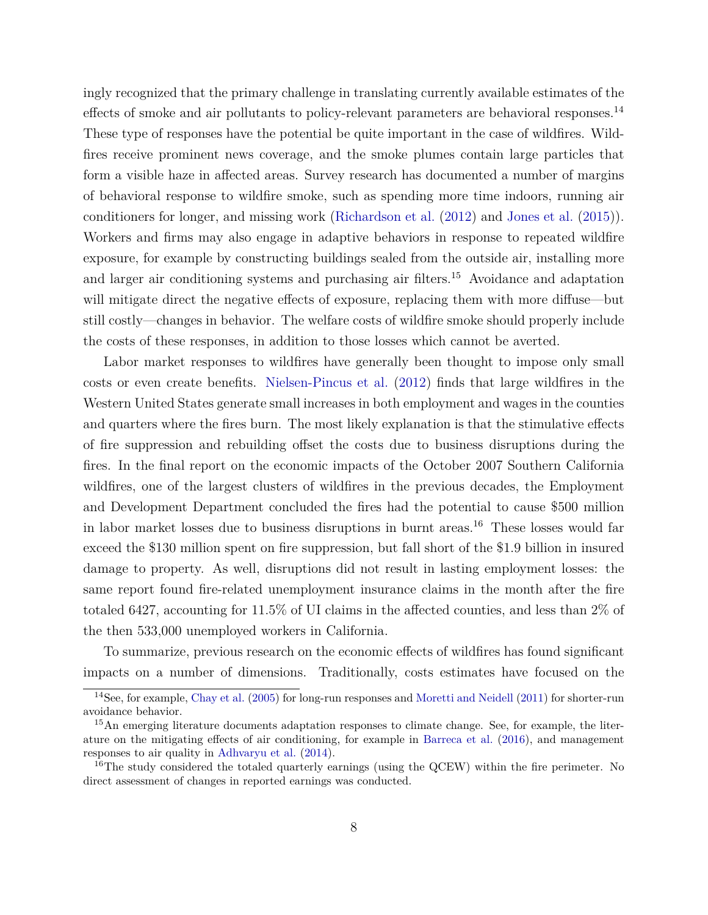ingly recognized that the primary challenge in translating currently available estimates of the effects of smoke and air pollutants to policy-relevant parameters are behavioral responses.<sup>14</sup> These type of responses have the potential be quite important in the case of wildfires. Wildfires receive prominent news coverage, and the smoke plumes contain large particles that form a visible haze in affected areas. Survey research has documented a number of margins of behavioral response to wildfire smoke, such as spending more time indoors, running air conditioners for longer, and missing work [\(Richardson et al.](#page-28-3) [\(2012\)](#page-28-3) and [Jones et al.](#page-27-8) [\(2015\)](#page-27-8)). Workers and firms may also engage in adaptive behaviors in response to repeated wildfire exposure, for example by constructing buildings sealed from the outside air, installing more and larger air conditioning systems and purchasing air filters.<sup>15</sup> Avoidance and adaptation will mitigate direct the negative effects of exposure, replacing them with more diffuse—but still costly—changes in behavior. The welfare costs of wildfire smoke should properly include the costs of these responses, in addition to those losses which cannot be averted.

Labor market responses to wildfires have generally been thought to impose only small costs or even create benefits. [Nielsen-Pincus et al.](#page-27-9) [\(2012\)](#page-27-9) finds that large wildfires in the Western United States generate small increases in both employment and wages in the counties and quarters where the fires burn. The most likely explanation is that the stimulative effects of fire suppression and rebuilding offset the costs due to business disruptions during the fires. In the final report on the economic impacts of the October 2007 Southern California wildfires, one of the largest clusters of wildfires in the previous decades, the Employment and Development Department concluded the fires had the potential to cause \$500 million in labor market losses due to business disruptions in burnt areas.<sup>16</sup> These losses would far exceed the \$130 million spent on fire suppression, but fall short of the \$1.9 billion in insured damage to property. As well, disruptions did not result in lasting employment losses: the same report found fire-related unemployment insurance claims in the month after the fire totaled 6427, accounting for 11.5% of UI claims in the affected counties, and less than 2% of the then 533,000 unemployed workers in California.

To summarize, previous research on the economic effects of wildfires has found significant impacts on a number of dimensions. Traditionally, costs estimates have focused on the

<sup>14</sup>See, for example, [Chay et al.](#page-25-9) [\(2005\)](#page-25-9) for long-run responses and [Moretti and Neidell](#page-27-4) [\(2011\)](#page-27-4) for shorter-run avoidance behavior.

<sup>&</sup>lt;sup>15</sup>An emerging literature documents adaptation responses to climate change. See, for example, the literature on the mitigating effects of air conditioning, for example in [Barreca et al.](#page-25-6) [\(2016\)](#page-25-6), and management responses to air quality in [Adhvaryu et al.](#page-24-2) [\(2014\)](#page-24-2).

 $16$ The study considered the totaled quarterly earnings (using the QCEW) within the fire perimeter. No direct assessment of changes in reported earnings was conducted.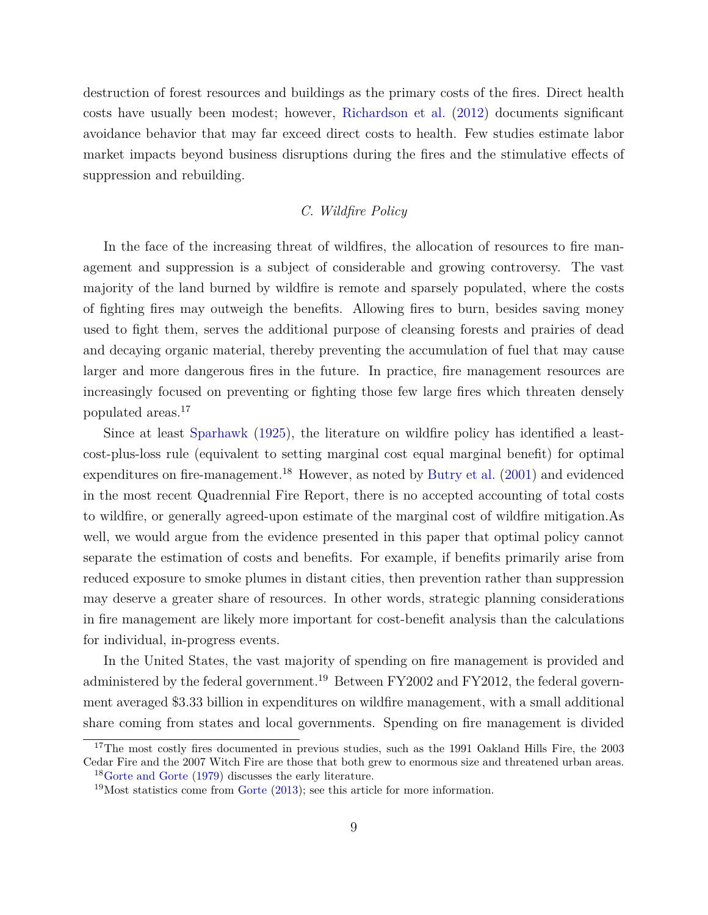destruction of forest resources and buildings as the primary costs of the fires. Direct health costs have usually been modest; however, [Richardson et al.](#page-28-3) [\(2012\)](#page-28-3) documents significant avoidance behavior that may far exceed direct costs to health. Few studies estimate labor market impacts beyond business disruptions during the fires and the stimulative effects of suppression and rebuilding.

### *C. Wildfire Policy*

In the face of the increasing threat of wildfires, the allocation of resources to fire management and suppression is a subject of considerable and growing controversy. The vast majority of the land burned by wildfire is remote and sparsely populated, where the costs of fighting fires may outweigh the benefits. Allowing fires to burn, besides saving money used to fight them, serves the additional purpose of cleansing forests and prairies of dead and decaying organic material, thereby preventing the accumulation of fuel that may cause larger and more dangerous fires in the future. In practice, fire management resources are increasingly focused on preventing or fighting those few large fires which threaten densely populated areas.<sup>17</sup>

Since at least [Sparhawk](#page-28-4) [\(1925\)](#page-28-4), the literature on wildfire policy has identified a leastcost-plus-loss rule (equivalent to setting marginal cost equal marginal benefit) for optimal expenditures on fire-management.<sup>18</sup> However, as noted by [Butry et al.](#page-25-8)  $(2001)$  and evidenced in the most recent Quadrennial Fire Report, there is no accepted accounting of total costs to wildfire, or generally agreed-upon estimate of the marginal cost of wildfire mitigation.As well, we would argue from the evidence presented in this paper that optimal policy cannot separate the estimation of costs and benefits. For example, if benefits primarily arise from reduced exposure to smoke plumes in distant cities, then prevention rather than suppression may deserve a greater share of resources. In other words, strategic planning considerations in fire management are likely more important for cost-benefit analysis than the calculations for individual, in-progress events.

In the United States, the vast majority of spending on fire management is provided and administered by the federal government.<sup>19</sup> Between FY2002 and FY2012, the federal government averaged \$3.33 billion in expenditures on wildfire management, with a small additional share coming from states and local governments. Spending on fire management is divided

<sup>&</sup>lt;sup>17</sup>The most costly fires documented in previous studies, such as the 1991 Oakland Hills Fire, the 2003 Cedar Fire and the 2007 Witch Fire are those that both grew to enormous size and threatened urban areas. <sup>18</sup>[Gorte and Gorte](#page-26-7) [\(1979\)](#page-26-7) discusses the early literature.

<sup>19</sup>Most statistics come from [Gorte](#page-26-8) [\(2013\)](#page-26-8); see this article for more information.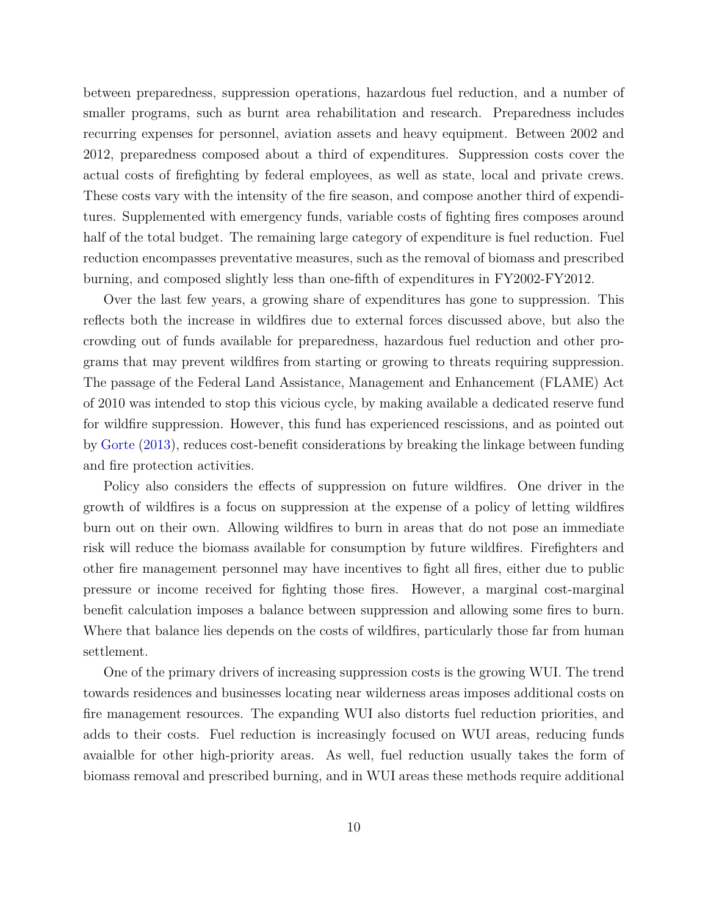between preparedness, suppression operations, hazardous fuel reduction, and a number of smaller programs, such as burnt area rehabilitation and research. Preparedness includes recurring expenses for personnel, aviation assets and heavy equipment. Between 2002 and 2012, preparedness composed about a third of expenditures. Suppression costs cover the actual costs of firefighting by federal employees, as well as state, local and private crews. These costs vary with the intensity of the fire season, and compose another third of expenditures. Supplemented with emergency funds, variable costs of fighting fires composes around half of the total budget. The remaining large category of expenditure is fuel reduction. Fuel reduction encompasses preventative measures, such as the removal of biomass and prescribed burning, and composed slightly less than one-fifth of expenditures in FY2002-FY2012.

Over the last few years, a growing share of expenditures has gone to suppression. This reflects both the increase in wildfires due to external forces discussed above, but also the crowding out of funds available for preparedness, hazardous fuel reduction and other programs that may prevent wildfires from starting or growing to threats requiring suppression. The passage of the Federal Land Assistance, Management and Enhancement (FLAME) Act of 2010 was intended to stop this vicious cycle, by making available a dedicated reserve fund for wildfire suppression. However, this fund has experienced rescissions, and as pointed out by [Gorte](#page-26-8) [\(2013\)](#page-26-8), reduces cost-benefit considerations by breaking the linkage between funding and fire protection activities.

Policy also considers the effects of suppression on future wildfires. One driver in the growth of wildfires is a focus on suppression at the expense of a policy of letting wildfires burn out on their own. Allowing wildfires to burn in areas that do not pose an immediate risk will reduce the biomass available for consumption by future wildfires. Firefighters and other fire management personnel may have incentives to fight all fires, either due to public pressure or income received for fighting those fires. However, a marginal cost-marginal benefit calculation imposes a balance between suppression and allowing some fires to burn. Where that balance lies depends on the costs of wildfires, particularly those far from human settlement.

One of the primary drivers of increasing suppression costs is the growing WUI. The trend towards residences and businesses locating near wilderness areas imposes additional costs on fire management resources. The expanding WUI also distorts fuel reduction priorities, and adds to their costs. Fuel reduction is increasingly focused on WUI areas, reducing funds avaialble for other high-priority areas. As well, fuel reduction usually takes the form of biomass removal and prescribed burning, and in WUI areas these methods require additional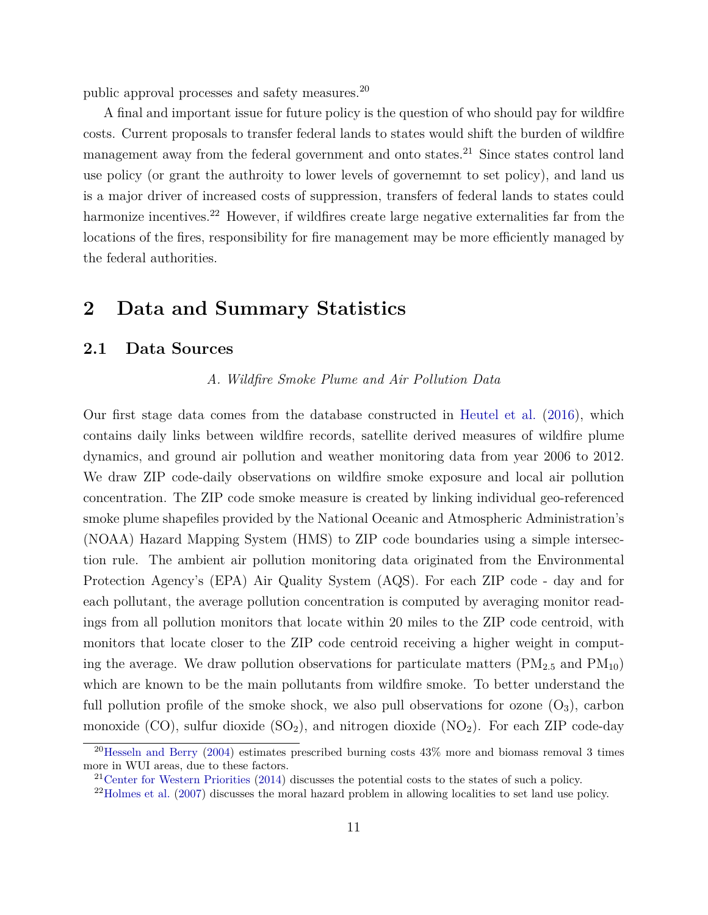public approval processes and safety measures.<sup>20</sup>

A final and important issue for future policy is the question of who should pay for wildfire costs. Current proposals to transfer federal lands to states would shift the burden of wildfire management away from the federal government and onto states.<sup>21</sup> Since states control land use policy (or grant the authroity to lower levels of governemnt to set policy), and land us is a major driver of increased costs of suppression, transfers of federal lands to states could harmonize incentives.<sup>22</sup> However, if wildfires create large negative externalities far from the locations of the fires, responsibility for fire management may be more efficiently managed by the federal authorities.

# **2 Data and Summary Statistics**

## **2.1 Data Sources**

*A. Wildfire Smoke Plume and Air Pollution Data*

Our first stage data comes from the database constructed in [Heutel et al.](#page-26-6) [\(2016\)](#page-26-6), which contains daily links between wildfire records, satellite derived measures of wildfire plume dynamics, and ground air pollution and weather monitoring data from year 2006 to 2012. We draw ZIP code-daily observations on wildfire smoke exposure and local air pollution concentration. The ZIP code smoke measure is created by linking individual geo-referenced smoke plume shapefiles provided by the National Oceanic and Atmospheric Administration's (NOAA) Hazard Mapping System (HMS) to ZIP code boundaries using a simple intersection rule. The ambient air pollution monitoring data originated from the Environmental Protection Agency's (EPA) Air Quality System (AQS). For each ZIP code - day and for each pollutant, the average pollution concentration is computed by averaging monitor readings from all pollution monitors that locate within 20 miles to the ZIP code centroid, with monitors that locate closer to the ZIP code centroid receiving a higher weight in computing the average. We draw pollution observations for particulate matters  $(PM_{2.5}$  and  $PM_{10}$ ) which are known to be the main pollutants from wildfire smoke. To better understand the full pollution profile of the smoke shock, we also pull observations for ozone  $(O_3)$ , carbon monoxide (CO), sulfur dioxide  $(SO_2)$ , and nitrogen dioxide  $(NO_2)$ . For each ZIP code-day

<sup>&</sup>lt;sup>20</sup>[Hesseln and Berry](#page-26-9) [\(2004\)](#page-26-9) estimates prescribed burning costs  $43\%$  more and biomass removal 3 times more in WUI areas, due to these factors.

<sup>&</sup>lt;sup>21</sup>[Center for Western Priorities](#page-25-10) [\(2014\)](#page-25-10) discusses the potential costs to the states of such a policy.

<sup>&</sup>lt;sup>22</sup>[Holmes et al.](#page-26-10) [\(2007\)](#page-26-10) discusses the moral hazard problem in allowing localities to set land use policy.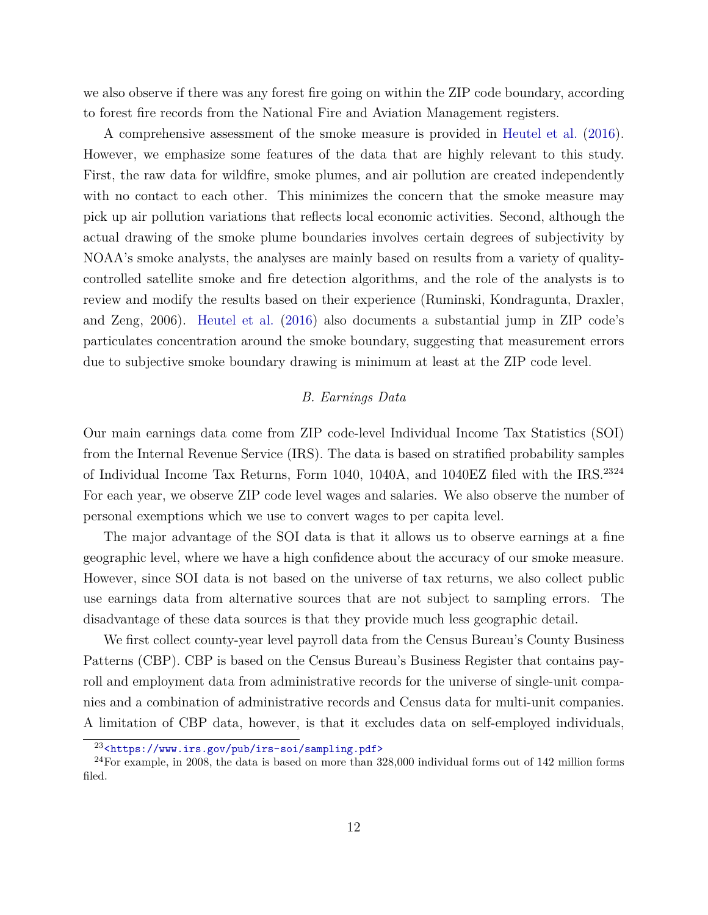we also observe if there was any forest fire going on within the ZIP code boundary, according to forest fire records from the National Fire and Aviation Management registers.

A comprehensive assessment of the smoke measure is provided in [Heutel et al.](#page-26-6) [\(2016\)](#page-26-6). However, we emphasize some features of the data that are highly relevant to this study. First, the raw data for wildfire, smoke plumes, and air pollution are created independently with no contact to each other. This minimizes the concern that the smoke measure may pick up air pollution variations that reflects local economic activities. Second, although the actual drawing of the smoke plume boundaries involves certain degrees of subjectivity by NOAA's smoke analysts, the analyses are mainly based on results from a variety of qualitycontrolled satellite smoke and fire detection algorithms, and the role of the analysts is to review and modify the results based on their experience (Ruminski, Kondragunta, Draxler, and Zeng, 2006). [Heutel et al.](#page-26-6) [\(2016\)](#page-26-6) also documents a substantial jump in ZIP code's particulates concentration around the smoke boundary, suggesting that measurement errors due to subjective smoke boundary drawing is minimum at least at the ZIP code level.

### *B. Earnings Data*

Our main earnings data come from ZIP code-level Individual Income Tax Statistics (SOI) from the Internal Revenue Service (IRS). The data is based on stratified probability samples of Individual Income Tax Returns, Form 1040, 1040A, and 1040EZ filed with the IRS.<sup>2324</sup> For each year, we observe ZIP code level wages and salaries. We also observe the number of personal exemptions which we use to convert wages to per capita level.

The major advantage of the SOI data is that it allows us to observe earnings at a fine geographic level, where we have a high confidence about the accuracy of our smoke measure. However, since SOI data is not based on the universe of tax returns, we also collect public use earnings data from alternative sources that are not subject to sampling errors. The disadvantage of these data sources is that they provide much less geographic detail.

We first collect county-year level payroll data from the Census Bureau's County Business Patterns (CBP). CBP is based on the Census Bureau's Business Register that contains payroll and employment data from administrative records for the universe of single-unit companies and a combination of administrative records and Census data for multi-unit companies. A limitation of CBP data, however, is that it excludes data on self-employed individuals,

<sup>23</sup><<https://www.irs.gov/pub/irs-soi/sampling.pdf>>

 $24$ For example, in 2008, the data is based on more than 328,000 individual forms out of 142 million forms filed.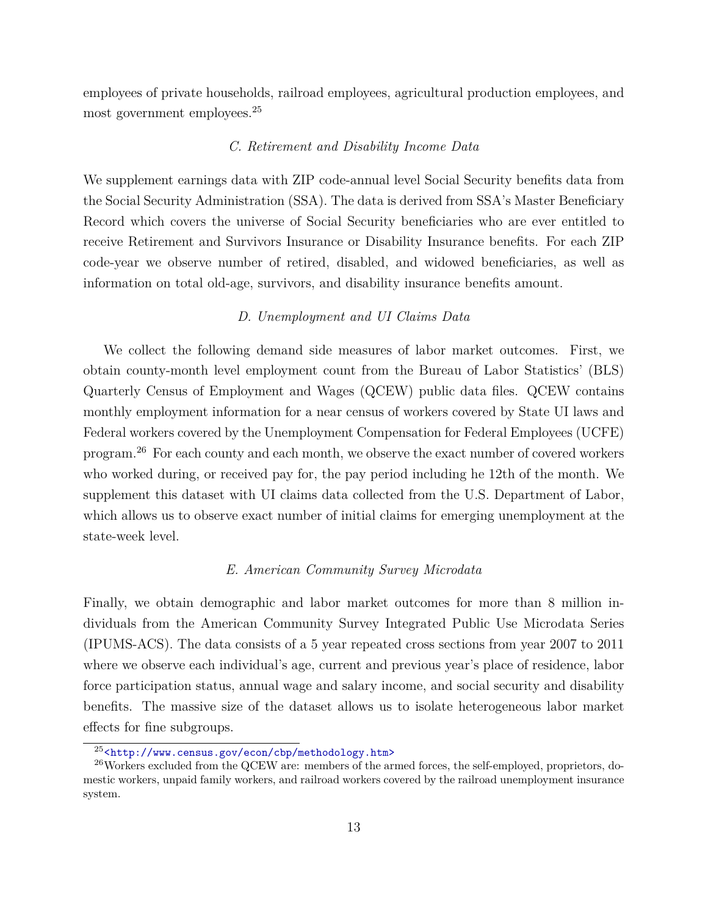employees of private households, railroad employees, agricultural production employees, and most government employees.<sup>25</sup>

#### *C. Retirement and Disability Income Data*

We supplement earnings data with ZIP code-annual level Social Security benefits data from the Social Security Administration (SSA). The data is derived from SSA's Master Beneficiary Record which covers the universe of Social Security beneficiaries who are ever entitled to receive Retirement and Survivors Insurance or Disability Insurance benefits. For each ZIP code-year we observe number of retired, disabled, and widowed beneficiaries, as well as information on total old-age, survivors, and disability insurance benefits amount.

#### *D. Unemployment and UI Claims Data*

We collect the following demand side measures of labor market outcomes. First, we obtain county-month level employment count from the Bureau of Labor Statistics' (BLS) Quarterly Census of Employment and Wages (QCEW) public data files. QCEW contains monthly employment information for a near census of workers covered by State UI laws and Federal workers covered by the Unemployment Compensation for Federal Employees (UCFE) program.<sup>26</sup> For each county and each month, we observe the exact number of covered workers who worked during, or received pay for, the pay period including he 12th of the month. We supplement this dataset with UI claims data collected from the U.S. Department of Labor, which allows us to observe exact number of initial claims for emerging unemployment at the state-week level.

#### *E. American Community Survey Microdata*

Finally, we obtain demographic and labor market outcomes for more than 8 million individuals from the American Community Survey Integrated Public Use Microdata Series (IPUMS-ACS). The data consists of a 5 year repeated cross sections from year 2007 to 2011 where we observe each individual's age, current and previous year's place of residence, labor force participation status, annual wage and salary income, and social security and disability benefits. The massive size of the dataset allows us to isolate heterogeneous labor market effects for fine subgroups.

 $^{25}$ <<http://www.census.gov/econ/cbp/methodology.htm>>

 $^{26}$ Workers excluded from the QCEW are: members of the armed forces, the self-employed, proprietors, domestic workers, unpaid family workers, and railroad workers covered by the railroad unemployment insurance system.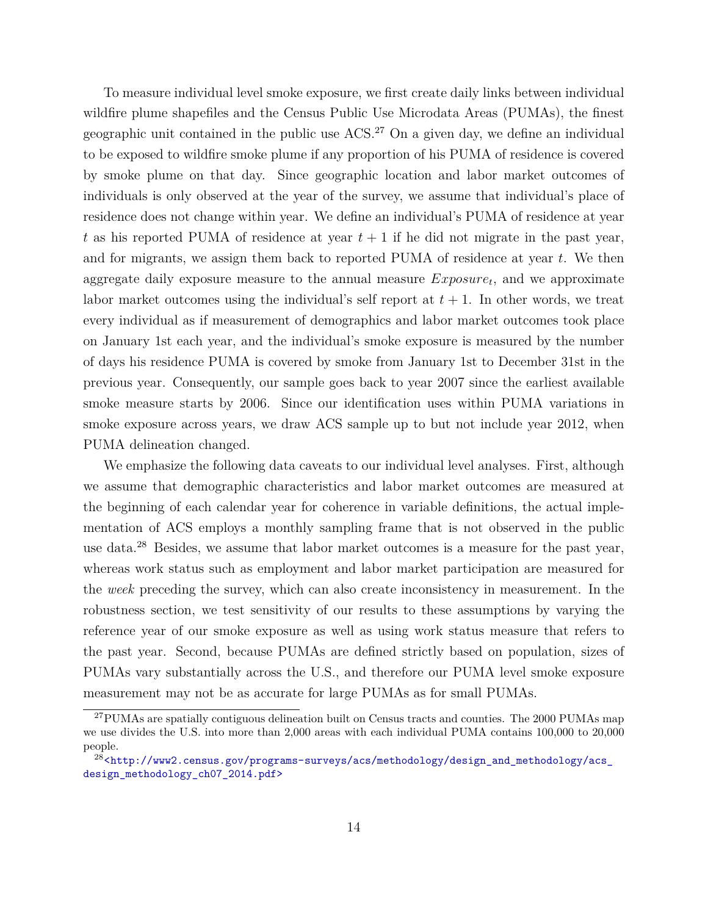To measure individual level smoke exposure, we first create daily links between individual wildfire plume shapefiles and the Census Public Use Microdata Areas (PUMAs), the finest geographic unit contained in the public use ACS.<sup>27</sup> On a given day, we define an individual to be exposed to wildfire smoke plume if any proportion of his PUMA of residence is covered by smoke plume on that day. Since geographic location and labor market outcomes of individuals is only observed at the year of the survey, we assume that individual's place of residence does not change within year. We define an individual's PUMA of residence at year t as his reported PUMA of residence at year  $t + 1$  if he did not migrate in the past year, and for migrants, we assign them back to reported PUMA of residence at year *t*. We then aggregate daily exposure measure to the annual measure *Exposure<sup>t</sup>* , and we approximate labor market outcomes using the individual's self report at  $t + 1$ . In other words, we treat every individual as if measurement of demographics and labor market outcomes took place on January 1st each year, and the individual's smoke exposure is measured by the number of days his residence PUMA is covered by smoke from January 1st to December 31st in the previous year. Consequently, our sample goes back to year 2007 since the earliest available smoke measure starts by 2006. Since our identification uses within PUMA variations in smoke exposure across years, we draw ACS sample up to but not include year 2012, when PUMA delineation changed.

We emphasize the following data caveats to our individual level analyses. First, although we assume that demographic characteristics and labor market outcomes are measured at the beginning of each calendar year for coherence in variable definitions, the actual implementation of ACS employs a monthly sampling frame that is not observed in the public use data.<sup>28</sup> Besides, we assume that labor market outcomes is a measure for the past year, whereas work status such as employment and labor market participation are measured for the *week* preceding the survey, which can also create inconsistency in measurement. In the robustness section, we test sensitivity of our results to these assumptions by varying the reference year of our smoke exposure as well as using work status measure that refers to the past year. Second, because PUMAs are defined strictly based on population, sizes of PUMAs vary substantially across the U.S., and therefore our PUMA level smoke exposure measurement may not be as accurate for large PUMAs as for small PUMAs.

<sup>&</sup>lt;sup>27</sup>PUMAs are spatially contiguous delineation built on Census tracts and counties. The 2000 PUMAs map we use divides the U.S. into more than 2,000 areas with each individual PUMA contains 100,000 to 20,000 people.

<sup>&</sup>lt;sup>28</sup>[<http://www2.census.gov/programs-surveys/acs/methodology/design\\_and\\_methodology/acs\\_](<http://www2.census.gov/programs-surveys/acs/methodology/design_and_methodology/acs_design_methodology_ch07_2014.pdf>) [design\\_methodology\\_ch07\\_2014.pdf>](<http://www2.census.gov/programs-surveys/acs/methodology/design_and_methodology/acs_design_methodology_ch07_2014.pdf>)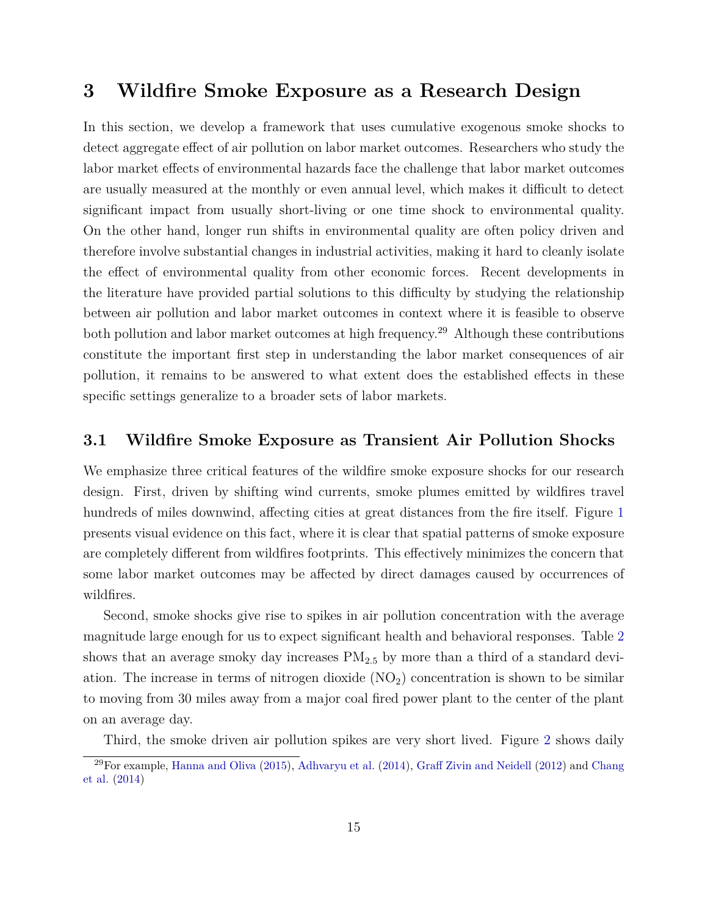# **3 Wildfire Smoke Exposure as a Research Design**

In this section, we develop a framework that uses cumulative exogenous smoke shocks to detect aggregate effect of air pollution on labor market outcomes. Researchers who study the labor market effects of environmental hazards face the challenge that labor market outcomes are usually measured at the monthly or even annual level, which makes it difficult to detect significant impact from usually short-living or one time shock to environmental quality. On the other hand, longer run shifts in environmental quality are often policy driven and therefore involve substantial changes in industrial activities, making it hard to cleanly isolate the effect of environmental quality from other economic forces. Recent developments in the literature have provided partial solutions to this difficulty by studying the relationship between air pollution and labor market outcomes in context where it is feasible to observe both pollution and labor market outcomes at high frequency.<sup>29</sup> Although these contributions constitute the important first step in understanding the labor market consequences of air pollution, it remains to be answered to what extent does the established effects in these specific settings generalize to a broader sets of labor markets.

## **3.1 Wildfire Smoke Exposure as Transient Air Pollution Shocks**

We emphasize three critical features of the wildfire smoke exposure shocks for our research design. First, driven by shifting wind currents, smoke plumes emitted by wildfires travel hundreds of miles downwind, affecting cities at great distances from the fire itself. Figure [1](#page-30-0) presents visual evidence on this fact, where it is clear that spatial patterns of smoke exposure are completely different from wildfires footprints. This effectively minimizes the concern that some labor market outcomes may be affected by direct damages caused by occurrences of wildfires.

Second, smoke shocks give rise to spikes in air pollution concentration with the average magnitude large enough for us to expect significant health and behavioral responses. Table [2](#page-37-0) shows that an average smoky day increases PM2*.*<sup>5</sup> by more than a third of a standard deviation. The increase in terms of nitrogen dioxide  $(NO<sub>2</sub>)$  concentration is shown to be similar to moving from 30 miles away from a major coal fired power plant to the center of the plant on an average day.

Third, the smoke driven air pollution spikes are very short lived. Figure [2](#page-31-0) shows daily

 $^{29}$ For example, [Hanna and Oliva](#page-26-0) [\(2015\)](#page-26-0), [Adhvaryu et al.](#page-24-2) [\(2014\)](#page-24-2), [Graff Zivin and Neidell](#page-26-1) [\(2012\)](#page-26-1) and [Chang](#page-25-0) [et al.](#page-25-0) [\(2014\)](#page-25-0)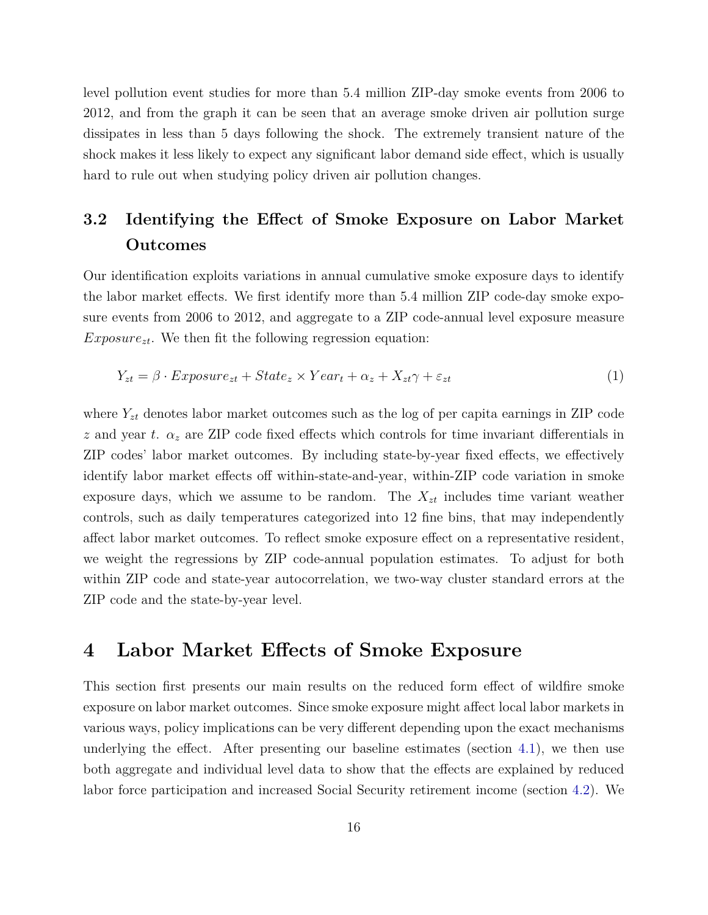level pollution event studies for more than 5.4 million ZIP-day smoke events from 2006 to 2012, and from the graph it can be seen that an average smoke driven air pollution surge dissipates in less than 5 days following the shock. The extremely transient nature of the shock makes it less likely to expect any significant labor demand side effect, which is usually hard to rule out when studying policy driven air pollution changes.

# **3.2 Identifying the Effect of Smoke Exposure on Labor Market Outcomes**

Our identification exploits variations in annual cumulative smoke exposure days to identify the labor market effects. We first identify more than 5.4 million ZIP code-day smoke exposure events from 2006 to 2012, and aggregate to a ZIP code-annual level exposure measure  $Exposure_{zt}$ . We then fit the following regression equation:

$$
Y_{zt} = \beta \cdot Exposure_{zt} + State_z \times Year_t + \alpha_z + X_{zt}\gamma + \varepsilon_{zt} \tag{1}
$$

where  $Y_{zt}$  denotes labor market outcomes such as the log of per capita earnings in ZIP code *z* and year *t*. *α<sup>z</sup>* are ZIP code fixed effects which controls for time invariant differentials in ZIP codes' labor market outcomes. By including state-by-year fixed effects, we effectively identify labor market effects off within-state-and-year, within-ZIP code variation in smoke exposure days, which we assume to be random. The  $X_{zt}$  includes time variant weather controls, such as daily temperatures categorized into 12 fine bins, that may independently affect labor market outcomes. To reflect smoke exposure effect on a representative resident, we weight the regressions by ZIP code-annual population estimates. To adjust for both within ZIP code and state-year autocorrelation, we two-way cluster standard errors at the ZIP code and the state-by-year level.

## **4 Labor Market Effects of Smoke Exposure**

This section first presents our main results on the reduced form effect of wildfire smoke exposure on labor market outcomes. Since smoke exposure might affect local labor markets in various ways, policy implications can be very different depending upon the exact mechanisms underlying the effect. After presenting our baseline estimates (section [4.1\)](#page-17-0), we then use both aggregate and individual level data to show that the effects are explained by reduced labor force participation and increased Social Security retirement income (section [4.2\)](#page-18-0). We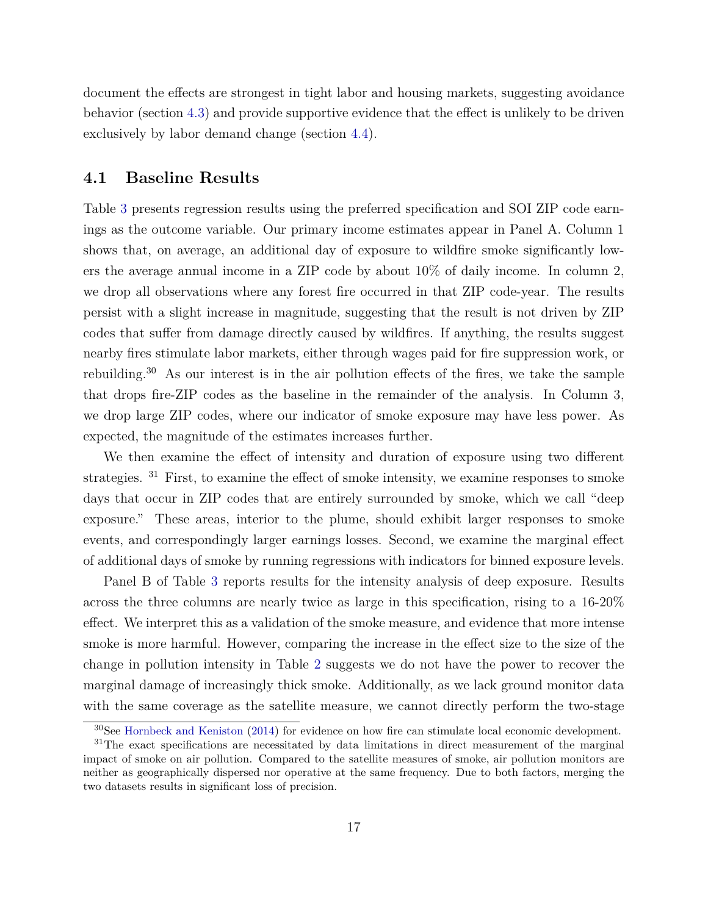document the effects are strongest in tight labor and housing markets, suggesting avoidance behavior (section [4.3\)](#page-19-0) and provide supportive evidence that the effect is unlikely to be driven exclusively by labor demand change (section [4.4\)](#page-20-0).

## <span id="page-17-0"></span>**4.1 Baseline Results**

Table [3](#page-38-0) presents regression results using the preferred specification and SOI ZIP code earnings as the outcome variable. Our primary income estimates appear in Panel A. Column 1 shows that, on average, an additional day of exposure to wildfire smoke significantly lowers the average annual income in a ZIP code by about 10% of daily income. In column 2, we drop all observations where any forest fire occurred in that ZIP code-year. The results persist with a slight increase in magnitude, suggesting that the result is not driven by ZIP codes that suffer from damage directly caused by wildfires. If anything, the results suggest nearby fires stimulate labor markets, either through wages paid for fire suppression work, or rebuilding.<sup>30</sup> As our interest is in the air pollution effects of the fires, we take the sample that drops fire-ZIP codes as the baseline in the remainder of the analysis. In Column 3, we drop large ZIP codes, where our indicator of smoke exposure may have less power. As expected, the magnitude of the estimates increases further.

We then examine the effect of intensity and duration of exposure using two different strategies. <sup>31</sup> First, to examine the effect of smoke intensity, we examine responses to smoke days that occur in ZIP codes that are entirely surrounded by smoke, which we call "deep exposure." These areas, interior to the plume, should exhibit larger responses to smoke events, and correspondingly larger earnings losses. Second, we examine the marginal effect of additional days of smoke by running regressions with indicators for binned exposure levels.

Panel B of Table [3](#page-38-0) reports results for the intensity analysis of deep exposure. Results across the three columns are nearly twice as large in this specification, rising to a 16-20% effect. We interpret this as a validation of the smoke measure, and evidence that more intense smoke is more harmful. However, comparing the increase in the effect size to the size of the change in pollution intensity in Table [2](#page-37-0) suggests we do not have the power to recover the marginal damage of increasingly thick smoke. Additionally, as we lack ground monitor data with the same coverage as the satellite measure, we cannot directly perform the two-stage

<sup>30</sup>See [Hornbeck and Keniston](#page-26-11) [\(2014\)](#page-26-11) for evidence on how fire can stimulate local economic development.

<sup>&</sup>lt;sup>31</sup>The exact specifications are necessitated by data limitations in direct measurement of the marginal impact of smoke on air pollution. Compared to the satellite measures of smoke, air pollution monitors are neither as geographically dispersed nor operative at the same frequency. Due to both factors, merging the two datasets results in significant loss of precision.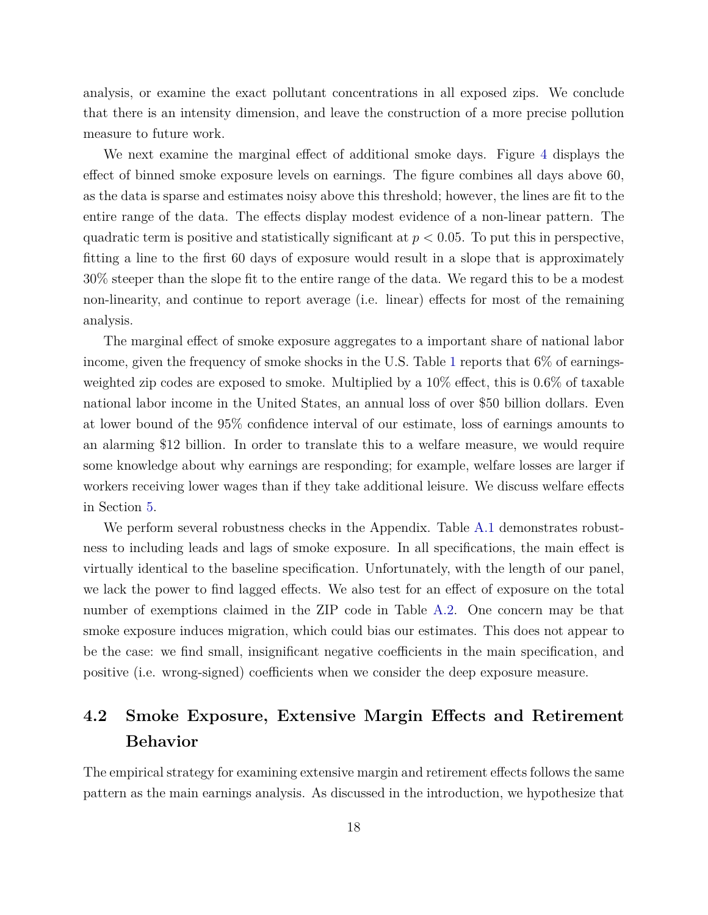analysis, or examine the exact pollutant concentrations in all exposed zips. We conclude that there is an intensity dimension, and leave the construction of a more precise pollution measure to future work.

We next examine the marginal effect of additional smoke days. Figure [4](#page-33-0) displays the effect of binned smoke exposure levels on earnings. The figure combines all days above 60, as the data is sparse and estimates noisy above this threshold; however, the lines are fit to the entire range of the data. The effects display modest evidence of a non-linear pattern. The quadratic term is positive and statistically significant at  $p < 0.05$ . To put this in perspective, fitting a line to the first 60 days of exposure would result in a slope that is approximately 30% steeper than the slope fit to the entire range of the data. We regard this to be a modest non-linearity, and continue to report average (i.e. linear) effects for most of the remaining analysis.

The marginal effect of smoke exposure aggregates to a important share of national labor income, given the frequency of smoke shocks in the U.S. Table [1](#page-36-0) reports that  $6\%$  of earningsweighted zip codes are exposed to smoke. Multiplied by a 10% effect, this is 0.6% of taxable national labor income in the United States, an annual loss of over \$50 billion dollars. Even at lower bound of the 95% confidence interval of our estimate, loss of earnings amounts to an alarming \$12 billion. In order to translate this to a welfare measure, we would require some knowledge about why earnings are responding; for example, welfare losses are larger if workers receiving lower wages than if they take additional leisure. We discuss welfare effects in Section [5.](#page-22-0)

We perform several robustness checks in the Appendix. Table [A.1](#page-42-0) demonstrates robustness to including leads and lags of smoke exposure. In all specifications, the main effect is virtually identical to the baseline specification. Unfortunately, with the length of our panel, we lack the power to find lagged effects. We also test for an effect of exposure on the total number of exemptions claimed in the ZIP code in Table [A.2.](#page-43-0) One concern may be that smoke exposure induces migration, which could bias our estimates. This does not appear to be the case: we find small, insignificant negative coefficients in the main specification, and positive (i.e. wrong-signed) coefficients when we consider the deep exposure measure.

# <span id="page-18-0"></span>**4.2 Smoke Exposure, Extensive Margin Effects and Retirement Behavior**

The empirical strategy for examining extensive margin and retirement effects follows the same pattern as the main earnings analysis. As discussed in the introduction, we hypothesize that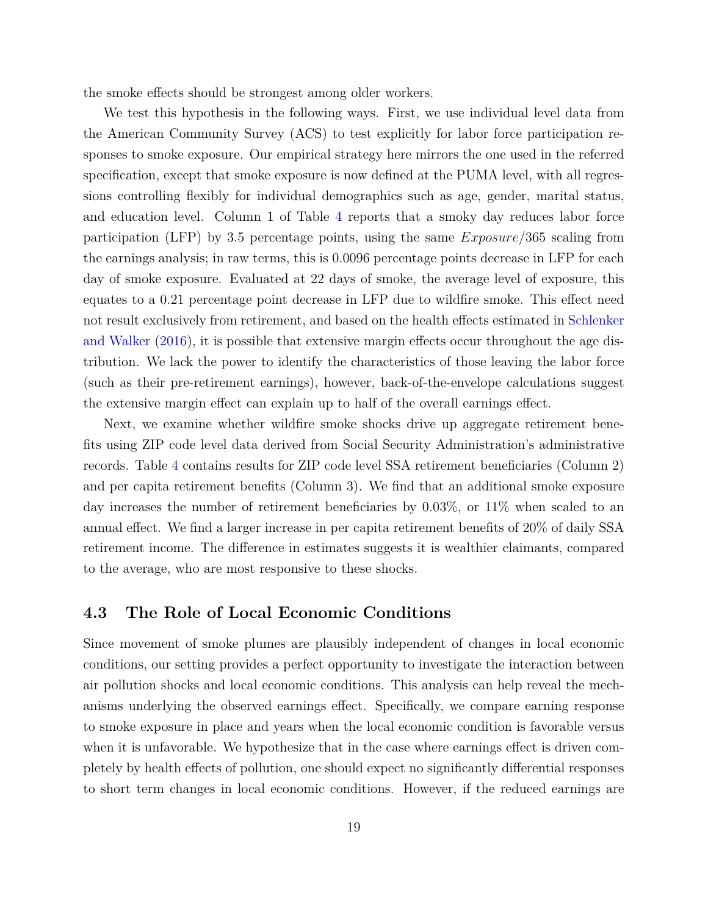the smoke effects should be strongest among older workers.

We test this hypothesis in the following ways. First, we use individual level data from the American Community Survey (ACS) to test explicitly for labor force participation responses to smoke exposure. Our empirical strategy here mirrors the one used in the referred specification, except that smoke exposure is now defined at the PUMA level, with all regressions controlling flexibly for individual demographics such as age, gender, marital status, and education level. Column 1 of Table [4](#page-39-0) reports that a smoky day reduces labor force participation (LFP) by 3.5 percentage points, using the same *Exposure*/365 scaling from the earnings analysis; in raw terms, this is 0.0096 percentage points decrease in LFP for each day of smoke exposure. Evaluated at 22 days of smoke, the average level of exposure, this equates to a 0.21 percentage point decrease in LFP due to wildfire smoke. This effect need not result exclusively from retirement, and based on the health effects estimated in [Schlenker](#page-28-0) [and Walker](#page-28-0) [\(2016\)](#page-28-0), it is possible that extensive margin effects occur throughout the age distribution. We lack the power to identify the characteristics of those leaving the labor force (such as their pre-retirement earnings), however, back-of-the-envelope calculations suggest the extensive margin effect can explain up to half of the overall earnings effect.

Next, we examine whether wildfire smoke shocks drive up aggregate retirement benefits using ZIP code level data derived from Social Security Administration's administrative records. Table [4](#page-39-0) contains results for ZIP code level SSA retirement beneficiaries (Column 2) and per capita retirement benefits (Column 3). We find that an additional smoke exposure day increases the number of retirement beneficiaries by 0.03%, or 11% when scaled to an annual effect. We find a larger increase in per capita retirement benefits of 20% of daily SSA retirement income. The difference in estimates suggests it is wealthier claimants, compared to the average, who are most responsive to these shocks.

## <span id="page-19-0"></span>**4.3 The Role of Local Economic Conditions**

Since movement of smoke plumes are plausibly independent of changes in local economic conditions, our setting provides a perfect opportunity to investigate the interaction between air pollution shocks and local economic conditions. This analysis can help reveal the mechanisms underlying the observed earnings effect. Specifically, we compare earning response to smoke exposure in place and years when the local economic condition is favorable versus when it is unfavorable. We hypothesize that in the case where earnings effect is driven completely by health effects of pollution, one should expect no significantly differential responses to short term changes in local economic conditions. However, if the reduced earnings are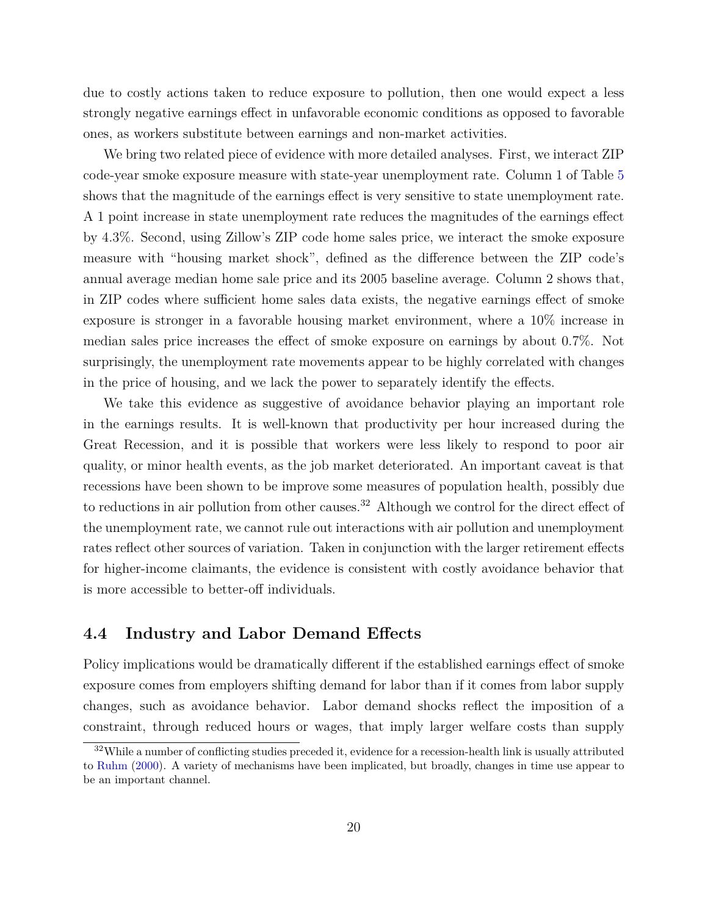due to costly actions taken to reduce exposure to pollution, then one would expect a less strongly negative earnings effect in unfavorable economic conditions as opposed to favorable ones, as workers substitute between earnings and non-market activities.

We bring two related piece of evidence with more detailed analyses. First, we interact ZIP code-year smoke exposure measure with state-year unemployment rate. Column 1 of Table [5](#page-40-0) shows that the magnitude of the earnings effect is very sensitive to state unemployment rate. A 1 point increase in state unemployment rate reduces the magnitudes of the earnings effect by 4.3%. Second, using Zillow's ZIP code home sales price, we interact the smoke exposure measure with "housing market shock", defined as the difference between the ZIP code's annual average median home sale price and its 2005 baseline average. Column 2 shows that, in ZIP codes where sufficient home sales data exists, the negative earnings effect of smoke exposure is stronger in a favorable housing market environment, where a 10% increase in median sales price increases the effect of smoke exposure on earnings by about 0.7%. Not surprisingly, the unemployment rate movements appear to be highly correlated with changes in the price of housing, and we lack the power to separately identify the effects.

We take this evidence as suggestive of avoidance behavior playing an important role in the earnings results. It is well-known that productivity per hour increased during the Great Recession, and it is possible that workers were less likely to respond to poor air quality, or minor health events, as the job market deteriorated. An important caveat is that recessions have been shown to be improve some measures of population health, possibly due to reductions in air pollution from other causes.<sup>32</sup> Although we control for the direct effect of the unemployment rate, we cannot rule out interactions with air pollution and unemployment rates reflect other sources of variation. Taken in conjunction with the larger retirement effects for higher-income claimants, the evidence is consistent with costly avoidance behavior that is more accessible to better-off individuals.

## <span id="page-20-0"></span>**4.4 Industry and Labor Demand Effects**

Policy implications would be dramatically different if the established earnings effect of smoke exposure comes from employers shifting demand for labor than if it comes from labor supply changes, such as avoidance behavior. Labor demand shocks reflect the imposition of a constraint, through reduced hours or wages, that imply larger welfare costs than supply

 $32$ While a number of conflicting studies preceded it, evidence for a recession-health link is usually attributed to [Ruhm](#page-28-5) [\(2000\)](#page-28-5). A variety of mechanisms have been implicated, but broadly, changes in time use appear to be an important channel.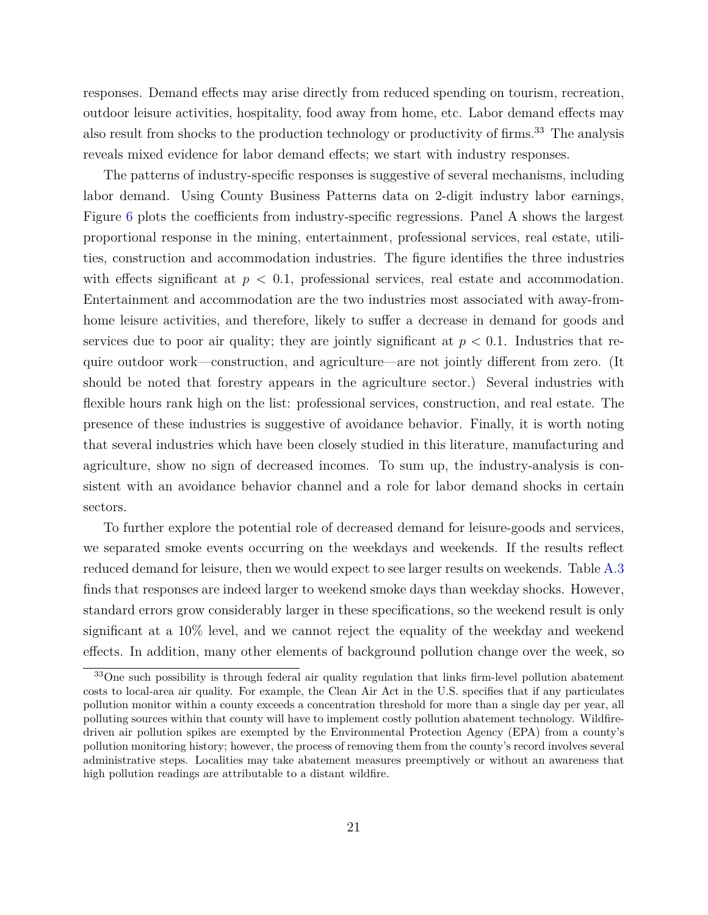responses. Demand effects may arise directly from reduced spending on tourism, recreation, outdoor leisure activities, hospitality, food away from home, etc. Labor demand effects may also result from shocks to the production technology or productivity of firms.<sup>33</sup> The analysis reveals mixed evidence for labor demand effects; we start with industry responses.

The patterns of industry-specific responses is suggestive of several mechanisms, including labor demand. Using County Business Patterns data on 2-digit industry labor earnings, Figure [6](#page-35-0) plots the coefficients from industry-specific regressions. Panel A shows the largest proportional response in the mining, entertainment, professional services, real estate, utilities, construction and accommodation industries. The figure identifies the three industries with effects significant at  $p < 0.1$ , professional services, real estate and accommodation. Entertainment and accommodation are the two industries most associated with away-fromhome leisure activities, and therefore, likely to suffer a decrease in demand for goods and services due to poor air quality; they are jointly significant at  $p < 0.1$ . Industries that require outdoor work—construction, and agriculture—are not jointly different from zero. (It should be noted that forestry appears in the agriculture sector.) Several industries with flexible hours rank high on the list: professional services, construction, and real estate. The presence of these industries is suggestive of avoidance behavior. Finally, it is worth noting that several industries which have been closely studied in this literature, manufacturing and agriculture, show no sign of decreased incomes. To sum up, the industry-analysis is consistent with an avoidance behavior channel and a role for labor demand shocks in certain sectors.

To further explore the potential role of decreased demand for leisure-goods and services, we separated smoke events occurring on the weekdays and weekends. If the results reflect reduced demand for leisure, then we would expect to see larger results on weekends. Table [A.3](#page-44-0) finds that responses are indeed larger to weekend smoke days than weekday shocks. However, standard errors grow considerably larger in these specifications, so the weekend result is only significant at a 10% level, and we cannot reject the equality of the weekday and weekend effects. In addition, many other elements of background pollution change over the week, so

<sup>&</sup>lt;sup>33</sup>One such possibility is through federal air quality regulation that links firm-level pollution abatement costs to local-area air quality. For example, the Clean Air Act in the U.S. specifies that if any particulates pollution monitor within a county exceeds a concentration threshold for more than a single day per year, all polluting sources within that county will have to implement costly pollution abatement technology. Wildfiredriven air pollution spikes are exempted by the Environmental Protection Agency (EPA) from a county's pollution monitoring history; however, the process of removing them from the county's record involves several administrative steps. Localities may take abatement measures preemptively or without an awareness that high pollution readings are attributable to a distant wildfire.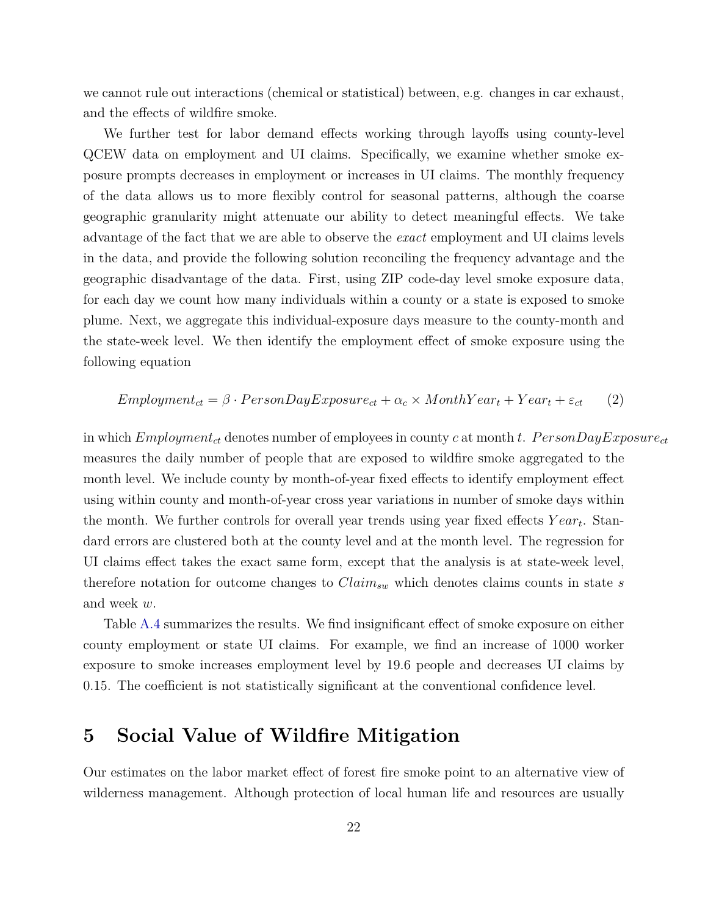we cannot rule out interactions (chemical or statistical) between, e.g. changes in car exhaust, and the effects of wildfire smoke.

We further test for labor demand effects working through layoffs using county-level QCEW data on employment and UI claims. Specifically, we examine whether smoke exposure prompts decreases in employment or increases in UI claims. The monthly frequency of the data allows us to more flexibly control for seasonal patterns, although the coarse geographic granularity might attenuate our ability to detect meaningful effects. We take advantage of the fact that we are able to observe the *exact* employment and UI claims levels in the data, and provide the following solution reconciling the frequency advantage and the geographic disadvantage of the data. First, using ZIP code-day level smoke exposure data, for each day we count how many individuals within a county or a state is exposed to smoke plume. Next, we aggregate this individual-exposure days measure to the county-month and the state-week level. We then identify the employment effect of smoke exposure using the following equation

$$
Emplogment_{ct} = \beta \cdot PersonDayExposure_{ct} + \alpha_c \times MonthYear_t + Year_t + \varepsilon_{ct}
$$
 (2)

in which  $Emplogment_{ct}$  denotes number of employees in county *c* at month *t*.  $PersonDayExposure_{ct}$ measures the daily number of people that are exposed to wildfire smoke aggregated to the month level. We include county by month-of-year fixed effects to identify employment effect using within county and month-of-year cross year variations in number of smoke days within the month. We further controls for overall year trends using year fixed effects *Y ear<sup>t</sup>* . Standard errors are clustered both at the county level and at the month level. The regression for UI claims effect takes the exact same form, except that the analysis is at state-week level, therefore notation for outcome changes to *Claimsw* which denotes claims counts in state *s* and week *w*.

Table [A.4](#page-44-1) summarizes the results. We find insignificant effect of smoke exposure on either county employment or state UI claims. For example, we find an increase of 1000 worker exposure to smoke increases employment level by 19.6 people and decreases UI claims by 0.15. The coefficient is not statistically significant at the conventional confidence level.

## <span id="page-22-0"></span>**5 Social Value of Wildfire Mitigation**

Our estimates on the labor market effect of forest fire smoke point to an alternative view of wilderness management. Although protection of local human life and resources are usually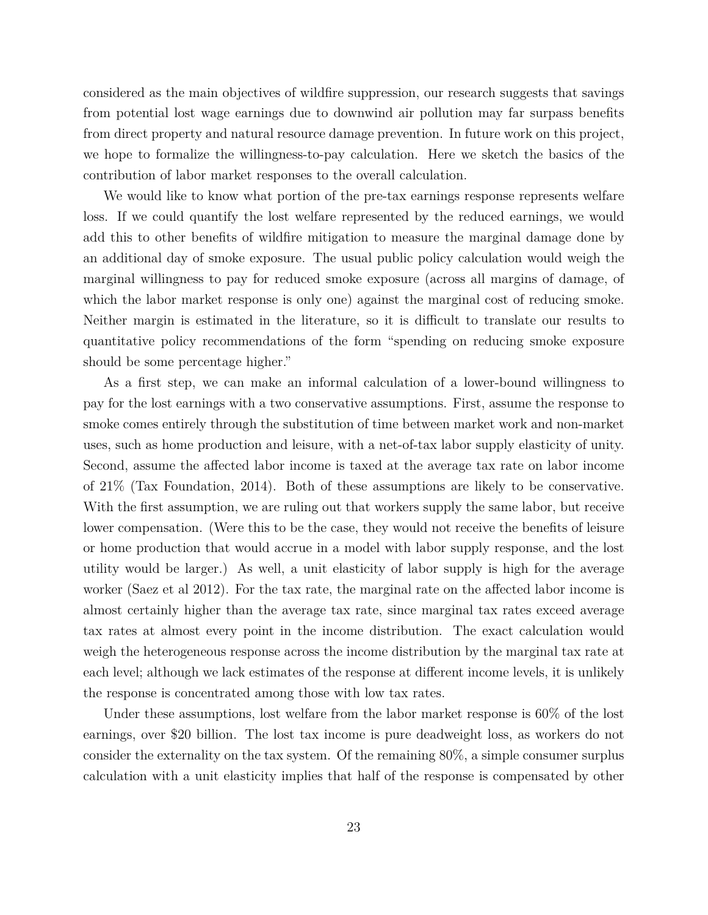considered as the main objectives of wildfire suppression, our research suggests that savings from potential lost wage earnings due to downwind air pollution may far surpass benefits from direct property and natural resource damage prevention. In future work on this project, we hope to formalize the willingness-to-pay calculation. Here we sketch the basics of the contribution of labor market responses to the overall calculation.

We would like to know what portion of the pre-tax earnings response represents welfare loss. If we could quantify the lost welfare represented by the reduced earnings, we would add this to other benefits of wildfire mitigation to measure the marginal damage done by an additional day of smoke exposure. The usual public policy calculation would weigh the marginal willingness to pay for reduced smoke exposure (across all margins of damage, of which the labor market response is only one) against the marginal cost of reducing smoke. Neither margin is estimated in the literature, so it is difficult to translate our results to quantitative policy recommendations of the form "spending on reducing smoke exposure should be some percentage higher."

As a first step, we can make an informal calculation of a lower-bound willingness to pay for the lost earnings with a two conservative assumptions. First, assume the response to smoke comes entirely through the substitution of time between market work and non-market uses, such as home production and leisure, with a net-of-tax labor supply elasticity of unity. Second, assume the affected labor income is taxed at the average tax rate on labor income of 21% (Tax Foundation, 2014). Both of these assumptions are likely to be conservative. With the first assumption, we are ruling out that workers supply the same labor, but receive lower compensation. (Were this to be the case, they would not receive the benefits of leisure or home production that would accrue in a model with labor supply response, and the lost utility would be larger.) As well, a unit elasticity of labor supply is high for the average worker (Saez et al 2012). For the tax rate, the marginal rate on the affected labor income is almost certainly higher than the average tax rate, since marginal tax rates exceed average tax rates at almost every point in the income distribution. The exact calculation would weigh the heterogeneous response across the income distribution by the marginal tax rate at each level; although we lack estimates of the response at different income levels, it is unlikely the response is concentrated among those with low tax rates.

Under these assumptions, lost welfare from the labor market response is 60% of the lost earnings, over \$20 billion. The lost tax income is pure deadweight loss, as workers do not consider the externality on the tax system. Of the remaining 80%, a simple consumer surplus calculation with a unit elasticity implies that half of the response is compensated by other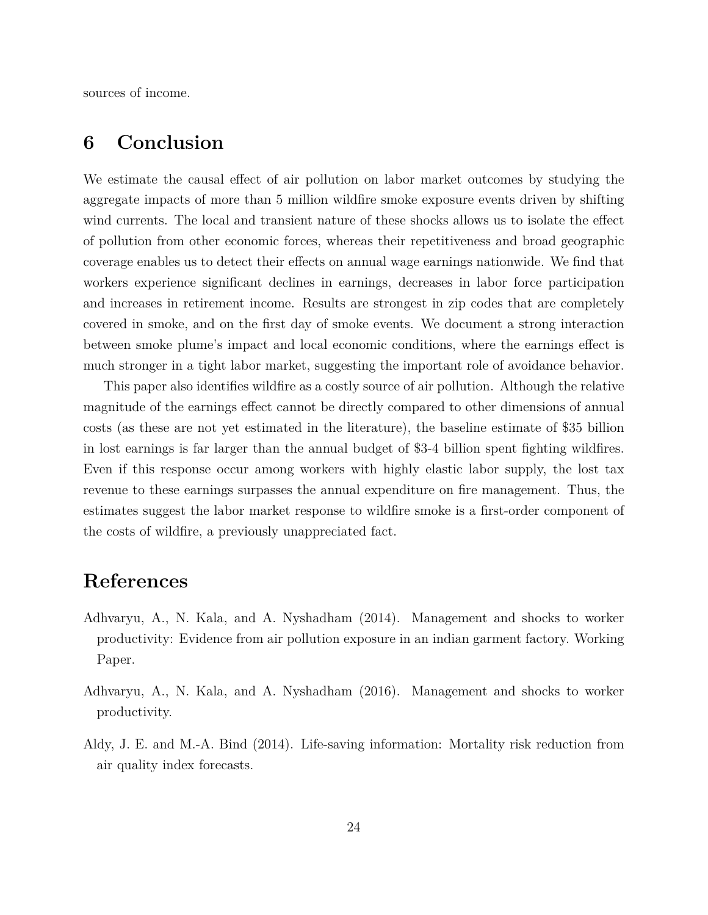sources of income.

# **6 Conclusion**

We estimate the causal effect of air pollution on labor market outcomes by studying the aggregate impacts of more than 5 million wildfire smoke exposure events driven by shifting wind currents. The local and transient nature of these shocks allows us to isolate the effect of pollution from other economic forces, whereas their repetitiveness and broad geographic coverage enables us to detect their effects on annual wage earnings nationwide. We find that workers experience significant declines in earnings, decreases in labor force participation and increases in retirement income. Results are strongest in zip codes that are completely covered in smoke, and on the first day of smoke events. We document a strong interaction between smoke plume's impact and local economic conditions, where the earnings effect is much stronger in a tight labor market, suggesting the important role of avoidance behavior.

This paper also identifies wildfire as a costly source of air pollution. Although the relative magnitude of the earnings effect cannot be directly compared to other dimensions of annual costs (as these are not yet estimated in the literature), the baseline estimate of \$35 billion in lost earnings is far larger than the annual budget of \$3-4 billion spent fighting wildfires. Even if this response occur among workers with highly elastic labor supply, the lost tax revenue to these earnings surpasses the annual expenditure on fire management. Thus, the estimates suggest the labor market response to wildfire smoke is a first-order component of the costs of wildfire, a previously unappreciated fact.

# **References**

- <span id="page-24-2"></span>Adhvaryu, A., N. Kala, and A. Nyshadham (2014). Management and shocks to worker productivity: Evidence from air pollution exposure in an indian garment factory. Working Paper.
- <span id="page-24-0"></span>Adhvaryu, A., N. Kala, and A. Nyshadham (2016). Management and shocks to worker productivity.
- <span id="page-24-1"></span>Aldy, J. E. and M.-A. Bind (2014). Life-saving information: Mortality risk reduction from air quality index forecasts.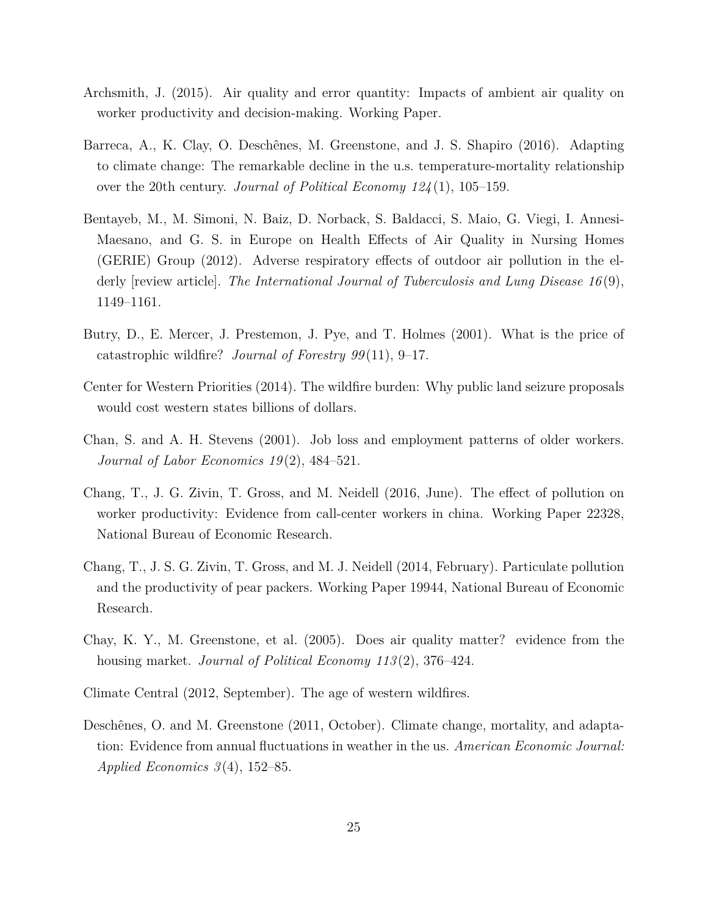- <span id="page-25-2"></span>Archsmith, J. (2015). Air quality and error quantity: Impacts of ambient air quality on worker productivity and decision-making. Working Paper.
- <span id="page-25-6"></span>Barreca, A., K. Clay, O. Deschênes, M. Greenstone, and J. S. Shapiro (2016). Adapting to climate change: The remarkable decline in the u.s. temperature-mortality relationship over the 20th century. *Journal of Political Economy 124* (1), 105–159.
- <span id="page-25-3"></span>Bentayeb, M., M. Simoni, N. Baiz, D. Norback, S. Baldacci, S. Maio, G. Viegi, I. Annesi-Maesano, and G. S. in Europe on Health Effects of Air Quality in Nursing Homes (GERIE) Group (2012). Adverse respiratory effects of outdoor air pollution in the elderly [review article]. *The International Journal of Tuberculosis and Lung Disease 16* (9), 1149–1161.
- <span id="page-25-8"></span>Butry, D., E. Mercer, J. Prestemon, J. Pye, and T. Holmes (2001). What is the price of catastrophic wildfire? *Journal of Forestry 99* (11), 9–17.
- <span id="page-25-10"></span>Center for Western Priorities (2014). The wildfire burden: Why public land seizure proposals would cost western states billions of dollars.
- <span id="page-25-4"></span>Chan, S. and A. H. Stevens (2001). Job loss and employment patterns of older workers. *Journal of Labor Economics 19* (2), 484–521.
- <span id="page-25-1"></span>Chang, T., J. G. Zivin, T. Gross, and M. Neidell (2016, June). The effect of pollution on worker productivity: Evidence from call-center workers in china. Working Paper 22328, National Bureau of Economic Research.
- <span id="page-25-0"></span>Chang, T., J. S. G. Zivin, T. Gross, and M. J. Neidell (2014, February). Particulate pollution and the productivity of pear packers. Working Paper 19944, National Bureau of Economic Research.
- <span id="page-25-9"></span>Chay, K. Y., M. Greenstone, et al. (2005). Does air quality matter? evidence from the housing market. *Journal of Political Economy 113* (2), 376–424.
- <span id="page-25-7"></span>Climate Central (2012, September). The age of western wildfires.
- <span id="page-25-5"></span>Deschênes, O. and M. Greenstone (2011, October). Climate change, mortality, and adaptation: Evidence from annual fluctuations in weather in the us. *American Economic Journal: Applied Economics 3* (4), 152–85.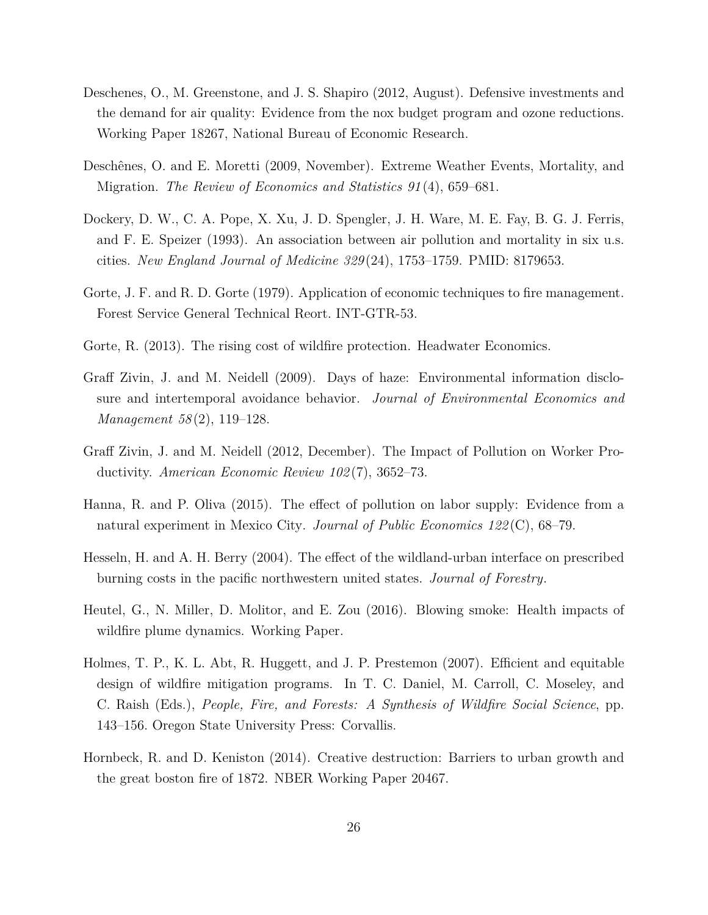- <span id="page-26-4"></span>Deschenes, O., M. Greenstone, and J. S. Shapiro (2012, August). Defensive investments and the demand for air quality: Evidence from the nox budget program and ozone reductions. Working Paper 18267, National Bureau of Economic Research.
- <span id="page-26-5"></span>Deschênes, O. and E. Moretti (2009, November). Extreme Weather Events, Mortality, and Migration. *The Review of Economics and Statistics 91* (4), 659–681.
- <span id="page-26-3"></span>Dockery, D. W., C. A. Pope, X. Xu, J. D. Spengler, J. H. Ware, M. E. Fay, B. G. J. Ferris, and F. E. Speizer (1993). An association between air pollution and mortality in six u.s. cities. *New England Journal of Medicine 329* (24), 1753–1759. PMID: 8179653.
- <span id="page-26-7"></span>Gorte, J. F. and R. D. Gorte (1979). Application of economic techniques to fire management. Forest Service General Technical Reort. INT-GTR-53.
- <span id="page-26-8"></span>Gorte, R. (2013). The rising cost of wildfire protection. Headwater Economics.
- <span id="page-26-2"></span>Graff Zivin, J. and M. Neidell (2009). Days of haze: Environmental information disclosure and intertemporal avoidance behavior. *Journal of Environmental Economics and Management 58* (2), 119–128.
- <span id="page-26-1"></span>Graff Zivin, J. and M. Neidell (2012, December). The Impact of Pollution on Worker Productivity. *American Economic Review 102* (7), 3652–73.
- <span id="page-26-0"></span>Hanna, R. and P. Oliva (2015). The effect of pollution on labor supply: Evidence from a natural experiment in Mexico City. *Journal of Public Economics 122* (C), 68–79.
- <span id="page-26-9"></span>Hesseln, H. and A. H. Berry (2004). The effect of the wildland-urban interface on prescribed burning costs in the pacific northwestern united states. *Journal of Forestry*.
- <span id="page-26-6"></span>Heutel, G., N. Miller, D. Molitor, and E. Zou (2016). Blowing smoke: Health impacts of wildfire plume dynamics. Working Paper.
- <span id="page-26-10"></span>Holmes, T. P., K. L. Abt, R. Huggett, and J. P. Prestemon (2007). Efficient and equitable design of wildfire mitigation programs. In T. C. Daniel, M. Carroll, C. Moseley, and C. Raish (Eds.), *People, Fire, and Forests: A Synthesis of Wildfire Social Science*, pp. 143–156. Oregon State University Press: Corvallis.
- <span id="page-26-11"></span>Hornbeck, R. and D. Keniston (2014). Creative destruction: Barriers to urban growth and the great boston fire of 1872. NBER Working Paper 20467.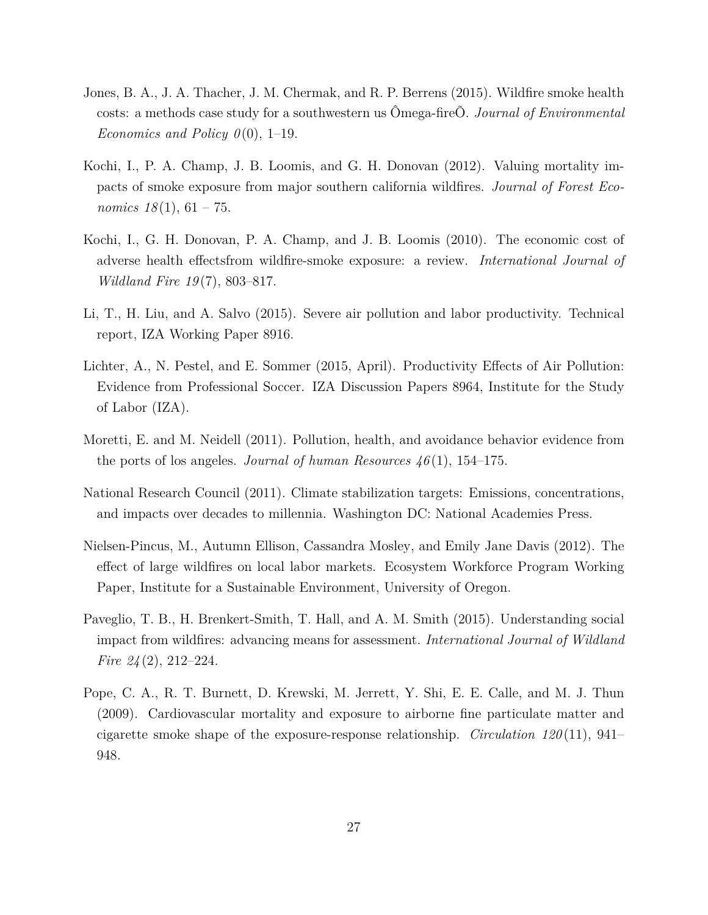- <span id="page-27-8"></span>Jones, B. A., J. A. Thacher, J. M. Chermak, and R. P. Berrens (2015). Wildfire smoke health costs: a methods case study for a southwestern us Ômega-fireÕ. *Journal of Environmental Economics and Policy 0*(0), 1–19.
- <span id="page-27-7"></span>Kochi, I., P. A. Champ, J. B. Loomis, and G. H. Donovan (2012). Valuing mortality impacts of smoke exposure from major southern california wildfires. *Journal of Forest Economics*  $18(1)$ ,  $61 - 75$ .
- <span id="page-27-6"></span>Kochi, I., G. H. Donovan, P. A. Champ, and J. B. Loomis (2010). The economic cost of adverse health effectsfrom wildfire-smoke exposure: a review. *International Journal of Wildland Fire 19* (7), 803–817.
- <span id="page-27-0"></span>Li, T., H. Liu, and A. Salvo (2015). Severe air pollution and labor productivity. Technical report, IZA Working Paper 8916.
- <span id="page-27-1"></span>Lichter, A., N. Pestel, and E. Sommer (2015, April). Productivity Effects of Air Pollution: Evidence from Professional Soccer. IZA Discussion Papers 8964, Institute for the Study of Labor (IZA).
- <span id="page-27-4"></span>Moretti, E. and M. Neidell (2011). Pollution, health, and avoidance behavior evidence from the ports of los angeles. *Journal of human Resources 46* (1), 154–175.
- <span id="page-27-2"></span>National Research Council (2011). Climate stabilization targets: Emissions, concentrations, and impacts over decades to millennia. Washington DC: National Academies Press.
- <span id="page-27-9"></span>Nielsen-Pincus, M., Autumn Ellison, Cassandra Mosley, and Emily Jane Davis (2012). The effect of large wildfires on local labor markets. Ecosystem Workforce Program Working Paper, Institute for a Sustainable Environment, University of Oregon.
- <span id="page-27-5"></span>Paveglio, T. B., H. Brenkert-Smith, T. Hall, and A. M. Smith (2015). Understanding social impact from wildfires: advancing means for assessment. *International Journal of Wildland Fire 24* (2), 212–224.
- <span id="page-27-3"></span>Pope, C. A., R. T. Burnett, D. Krewski, M. Jerrett, Y. Shi, E. E. Calle, and M. J. Thun (2009). Cardiovascular mortality and exposure to airborne fine particulate matter and cigarette smoke shape of the exposure-response relationship. *Circulation 120* (11), 941– 948.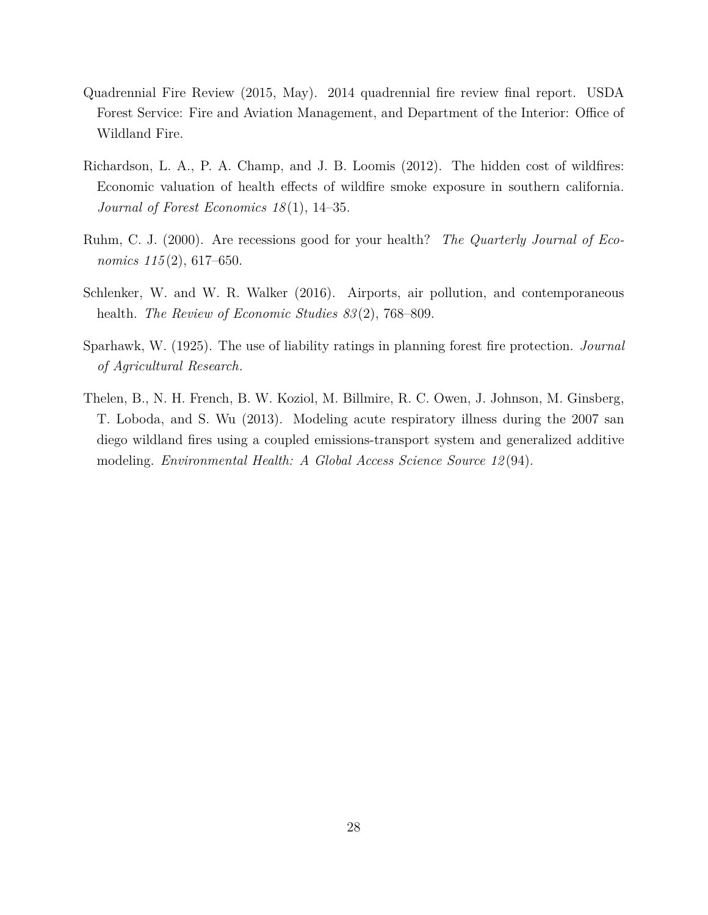- <span id="page-28-1"></span>Quadrennial Fire Review (2015, May). 2014 quadrennial fire review final report. USDA Forest Service: Fire and Aviation Management, and Department of the Interior: Office of Wildland Fire.
- <span id="page-28-3"></span>Richardson, L. A., P. A. Champ, and J. B. Loomis (2012). The hidden cost of wildfires: Economic valuation of health effects of wildfire smoke exposure in southern california. *Journal of Forest Economics 18* (1), 14–35.
- <span id="page-28-5"></span>Ruhm, C. J. (2000). Are recessions good for your health? *The Quarterly Journal of Economics 115* (2), 617–650.
- <span id="page-28-0"></span>Schlenker, W. and W. R. Walker (2016). Airports, air pollution, and contemporaneous health. *The Review of Economic Studies 83* (2), 768–809.
- <span id="page-28-4"></span>Sparhawk, W. (1925). The use of liability ratings in planning forest fire protection. *Journal of Agricultural Research*.
- <span id="page-28-2"></span>Thelen, B., N. H. French, B. W. Koziol, M. Billmire, R. C. Owen, J. Johnson, M. Ginsberg, T. Loboda, and S. Wu (2013). Modeling acute respiratory illness during the 2007 san diego wildland fires using a coupled emissions-transport system and generalized additive modeling. *Environmental Health: A Global Access Science Source 12* (94).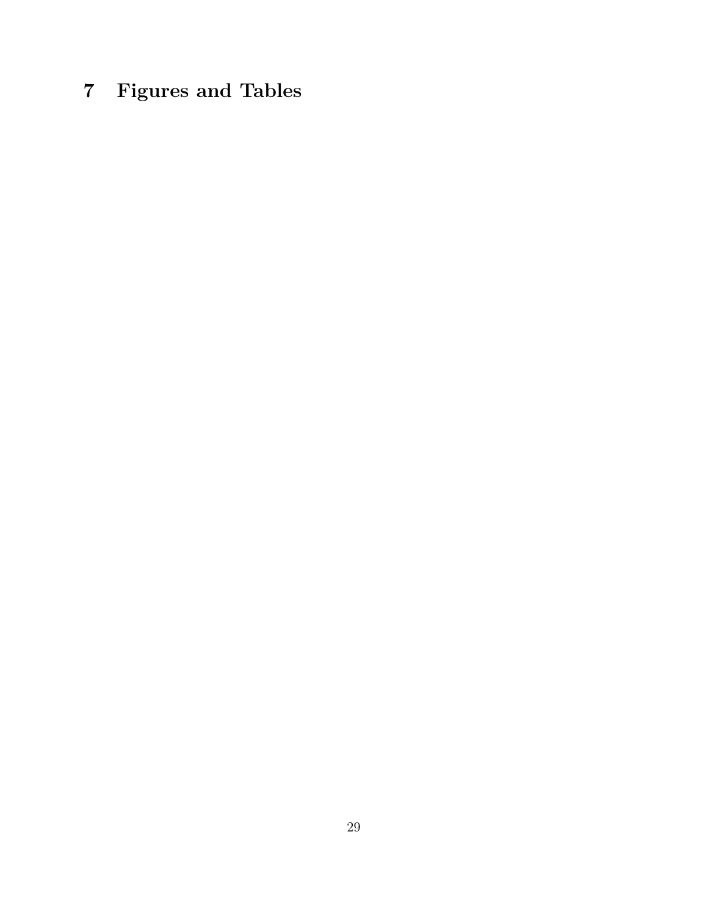# **7 Figures and Tables**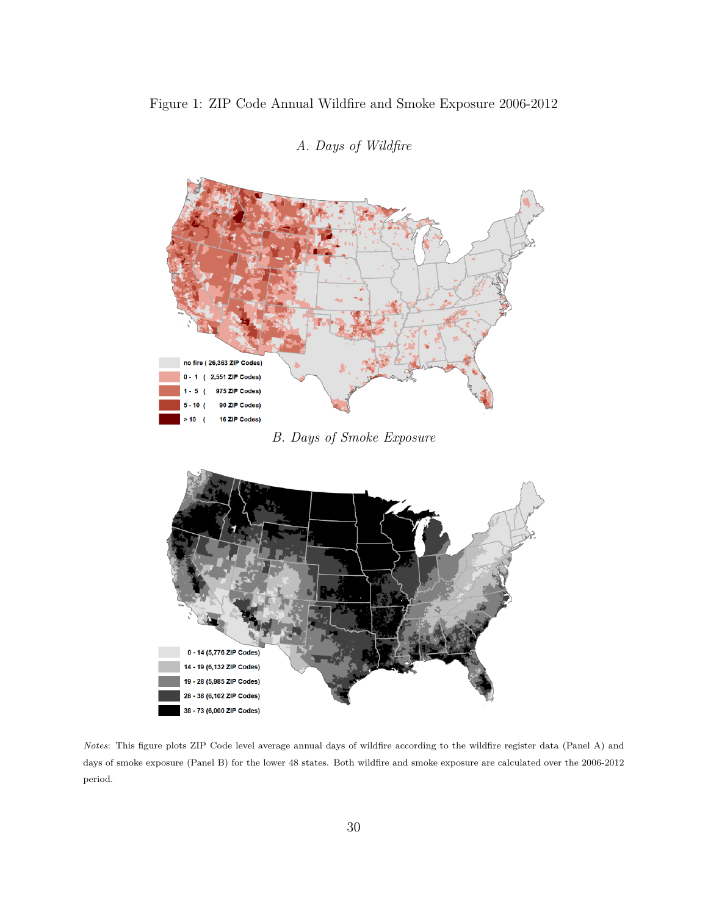<span id="page-30-0"></span>

*A. Days of Wildfire*

*B. Days of Smoke Exposure*



*Notes*: This figure plots ZIP Code level average annual days of wildfire according to the wildfire register data (Panel A) and days of smoke exposure (Panel B) for the lower 48 states. Both wildfire and smoke exposure are calculated over the 2006-2012 period.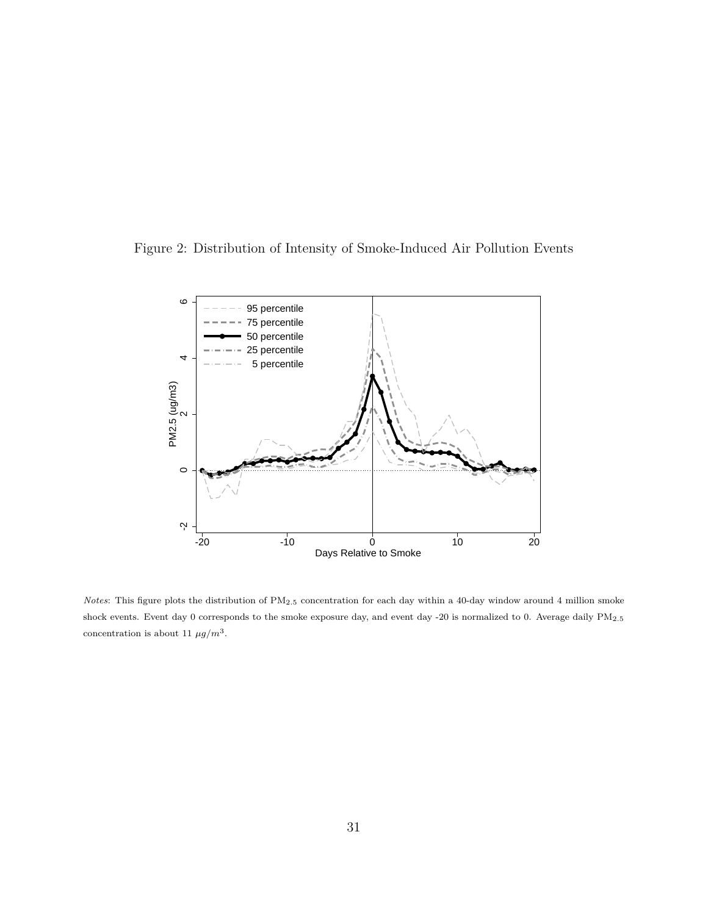<span id="page-31-0"></span>



*Notes*: This figure plots the distribution of PM2*.*<sup>5</sup> concentration for each day within a 40-day window around 4 million smoke shock events. Event day 0 corresponds to the smoke exposure day, and event day -20 is normalized to 0. Average daily PM2*.*<sup>5</sup> concentration is about 11  $\mu g/m^3$ .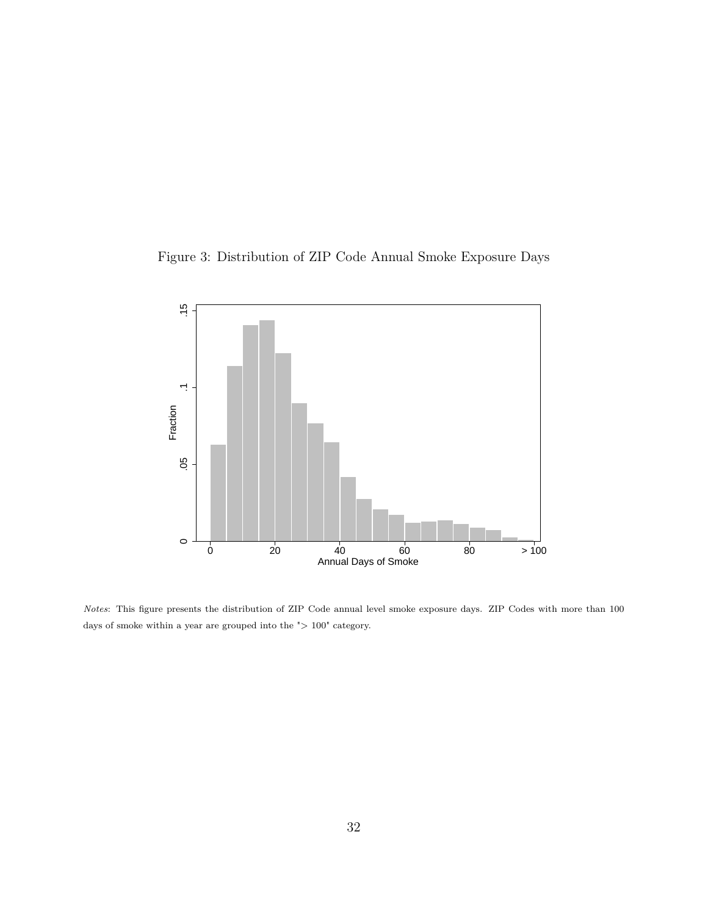Figure 3: Distribution of ZIP Code Annual Smoke Exposure Days



*Notes*: This figure presents the distribution of ZIP Code annual level smoke exposure days. ZIP Codes with more than 100 days of smoke within a year are grouped into the  $">100"$  category.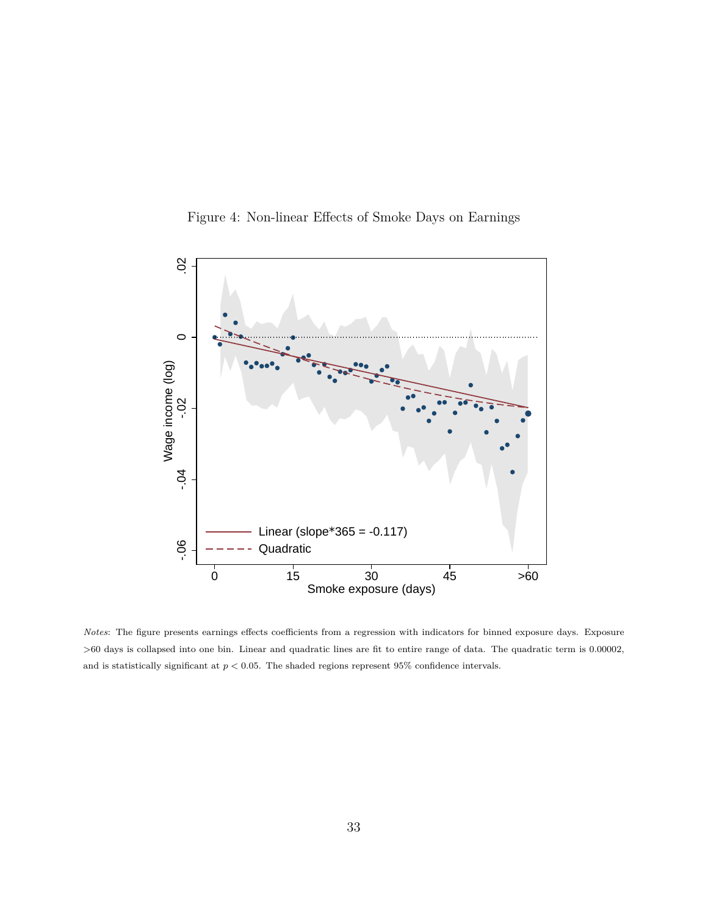

<span id="page-33-0"></span>

*Notes*: The figure presents earnings effects coefficients from a regression with indicators for binned exposure days. Exposure *>*60 days is collapsed into one bin. Linear and quadratic lines are fit to entire range of data. The quadratic term is 0.00002, and is statistically significant at  $p < 0.05$ . The shaded regions represent 95% confidence intervals.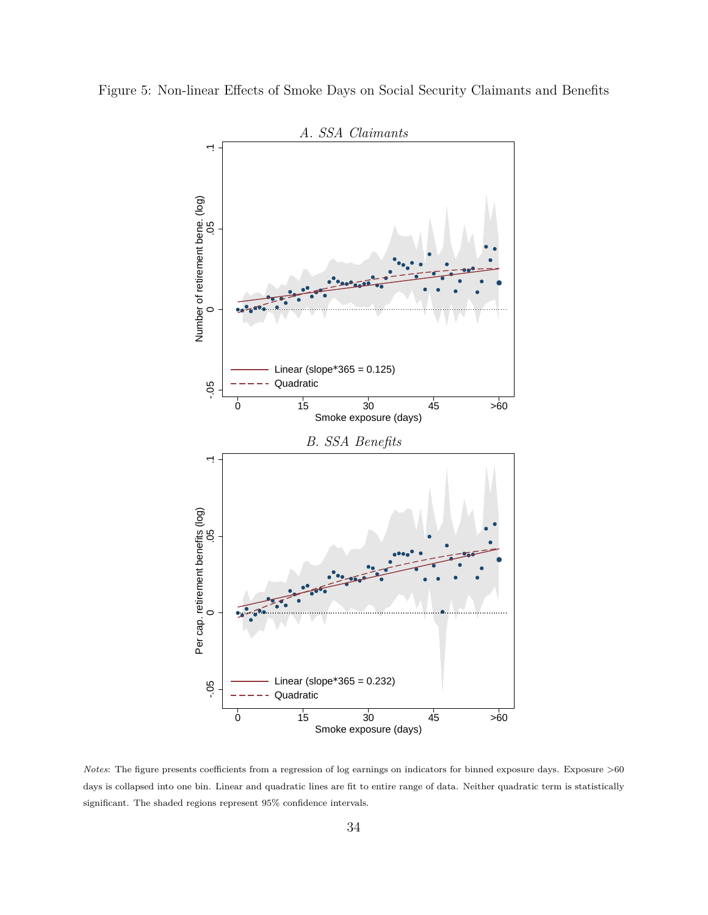



*Notes*: The figure presents coefficients from a regression of log earnings on indicators for binned exposure days. Exposure *>*60 days is collapsed into one bin. Linear and quadratic lines are fit to entire range of data. Neither quadratic term is statistically significant. The shaded regions represent 95% confidence intervals.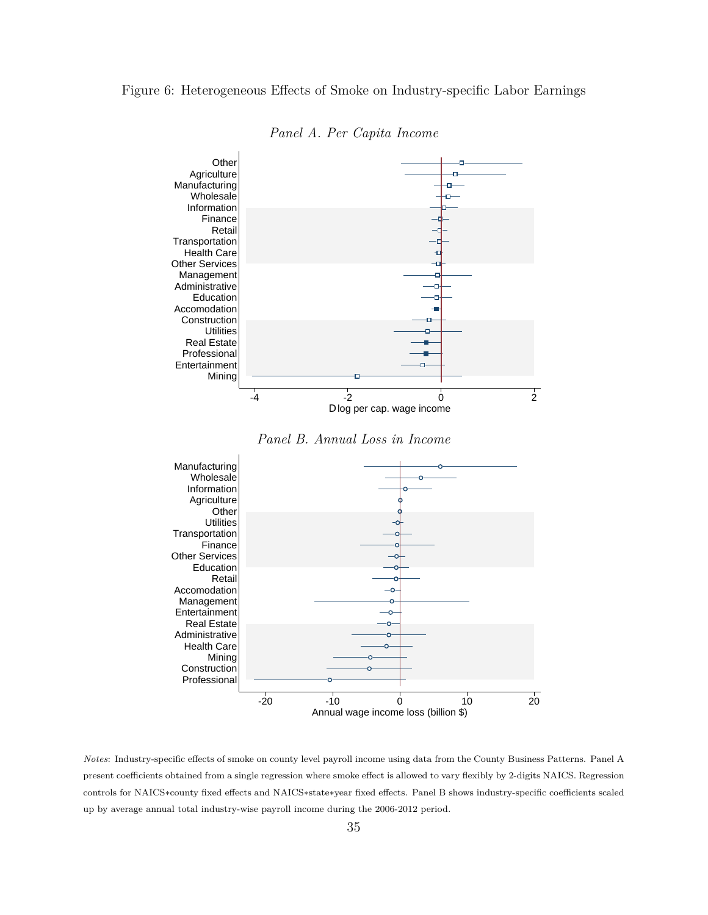### <span id="page-35-0"></span>Figure 6: Heterogeneous Effects of Smoke on Industry-specific Labor Earnings



*Panel A. Per Capita Income*





*Notes*: Industry-specific effects of smoke on county level payroll income using data from the County Business Patterns. Panel A present coefficients obtained from a single regression where smoke effect is allowed to vary flexibly by 2-digits NAICS. Regression controls for NAICS∗county fixed effects and NAICS∗state∗year fixed effects. Panel B shows industry-specific coefficients scaled up by average annual total industry-wise payroll income during the 2006-2012 period.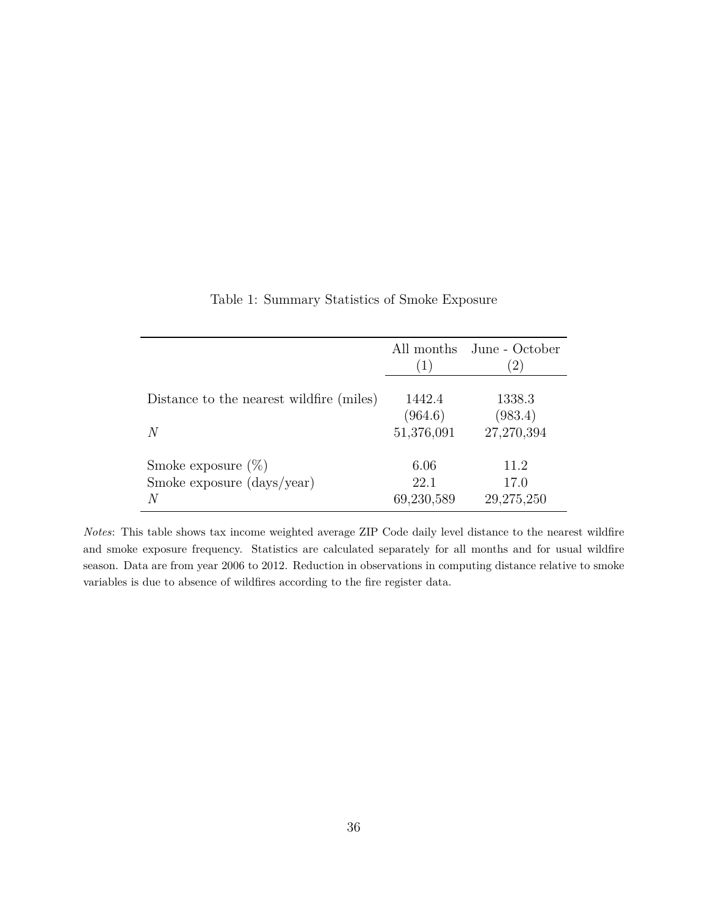<span id="page-36-0"></span>

|                                                                                | (1)                             | All months June - October<br>$\left(2\right)$ |
|--------------------------------------------------------------------------------|---------------------------------|-----------------------------------------------|
| Distance to the nearest wildfire (miles)<br>N                                  | 1442.4<br>(964.6)<br>51,376,091 | 1338.3<br>(983.4)<br>27,270,394               |
| Smoke exposure $(\%)$<br>Smoke exposure $\frac{\text{days}}{\text{year}}$<br>N | 6.06<br>22.1<br>69,230,589      | 11.2<br>17.0<br>29,275,250                    |

Table 1: Summary Statistics of Smoke Exposure

*Notes*: This table shows tax income weighted average ZIP Code daily level distance to the nearest wildfire and smoke exposure frequency. Statistics are calculated separately for all months and for usual wildfire season. Data are from year 2006 to 2012. Reduction in observations in computing distance relative to smoke variables is due to absence of wildfires according to the fire register data.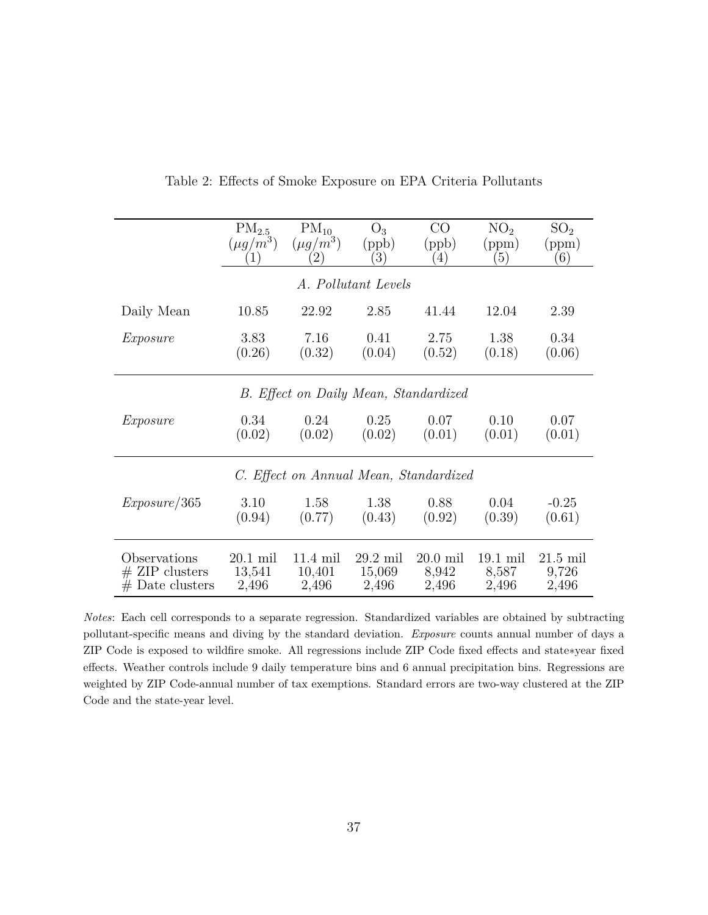<span id="page-37-0"></span>

|                                        | $PM_{2.5}$    | $PM_{10}$          | $O_3$               | $\rm CO$   | NO <sub>2</sub> | SO <sub>2</sub> |  |
|----------------------------------------|---------------|--------------------|---------------------|------------|-----------------|-----------------|--|
|                                        | $(\mu g/m^3)$ | $(\mu g/m^3)$      | (ppb)               | (ppb)      | (ppm)           | (ppm)           |  |
|                                        | (1)           | $\left( 2\right)$  | $\left(3\right)$    | (4)        | (5)             | (6)             |  |
|                                        |               |                    | A. Pollutant Levels |            |                 |                 |  |
| Daily Mean                             | 10.85         | 22.92              | 2.85                | 41.44      | 12.04           | 2.39            |  |
| Exposure                               | 3.83          | 7.16               | 0.41                | 2.75       | 1.38            | 0.34            |  |
|                                        | (0.26)        | (0.32)             | (0.04)              | (0.52)     | (0.18)          | (0.06)          |  |
| B. Effect on Daily Mean, Standardized  |               |                    |                     |            |                 |                 |  |
| Exposure                               | 0.34          | 0.24               | 0.25                | 0.07       | 0.10            | 0.07            |  |
|                                        | (0.02)        | (0.02)             | (0.02)              | (0.01)     | (0.01)          | (0.01)          |  |
| C. Effect on Annual Mean, Standardized |               |                    |                     |            |                 |                 |  |
| Exposure/365                           | 3.10          | 1.58               | 1.38                | 0.88       | 0.04            | $-0.25$         |  |
|                                        | (0.94)        | (0.77)             | (0.43)              | (0.92)     | (0.39)          | (0.61)          |  |
| Observations                           | $20.1$ mil    | $11.4 \text{ mil}$ | $29.2$ mil          | $20.0$ mil | $19.1$ mil      | $21.5$ mil      |  |
| $#$ ZIP clusters                       | 13,541        | 10,401             | 15,069              | 8,942      | 8,587           | 9,726           |  |
| $#$ Date clusters                      | 2,496         | 2,496              | 2,496               | 2,496      | 2,496           | 2,496           |  |

Table 2: Effects of Smoke Exposure on EPA Criteria Pollutants

*Notes*: Each cell corresponds to a separate regression. Standardized variables are obtained by subtracting pollutant-specific means and diving by the standard deviation. *Exposure* counts annual number of days a ZIP Code is exposed to wildfire smoke. All regressions include ZIP Code fixed effects and state∗year fixed effects. Weather controls include 9 daily temperature bins and 6 annual precipitation bins. Regressions are weighted by ZIP Code-annual number of tax exemptions. Standard errors are two-way clustered at the ZIP Code and the state-year level.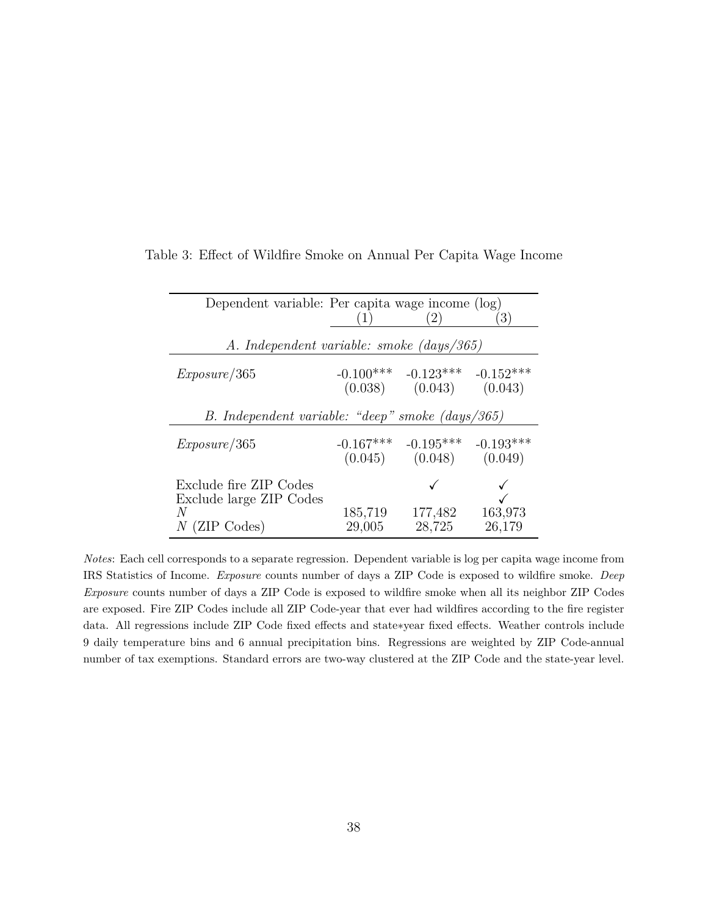| Dependent variable: Per capita wage income (log)                          |                        | (2)                                            | $\left(3\right)$       |  |  |  |
|---------------------------------------------------------------------------|------------------------|------------------------------------------------|------------------------|--|--|--|
| A. Independent variable: smoke (days/365)                                 |                        |                                                |                        |  |  |  |
| Exposure/365                                                              | $-0.100***$<br>(0.038) | $-0.123***$<br>(0.043)                         | $-0.152***$<br>(0.043) |  |  |  |
| B. Independent variable: "deep" smoke (days/365)                          |                        |                                                |                        |  |  |  |
| Exposure/365                                                              |                        | $-0.167***$ $-0.195***$<br>$(0.045)$ $(0.048)$ | $-0.193***$<br>(0.049) |  |  |  |
| Exclude fire ZIP Codes<br>Exclude large ZIP Codes<br>N<br>$N$ (ZIP Codes) | 185,719<br>29,005      | 177,482<br>28,725                              | 163,973<br>26,179      |  |  |  |

<span id="page-38-0"></span>Table 3: Effect of Wildfire Smoke on Annual Per Capita Wage Income

*Notes*: Each cell corresponds to a separate regression. Dependent variable is log per capita wage income from IRS Statistics of Income. *Exposure* counts number of days a ZIP Code is exposed to wildfire smoke. *Deep Exposure* counts number of days a ZIP Code is exposed to wildfire smoke when all its neighbor ZIP Codes are exposed. Fire ZIP Codes include all ZIP Code-year that ever had wildfires according to the fire register data. All regressions include ZIP Code fixed effects and state∗year fixed effects. Weather controls include 9 daily temperature bins and 6 annual precipitation bins. Regressions are weighted by ZIP Code-annual number of tax exemptions. Standard errors are two-way clustered at the ZIP Code and the state-year level.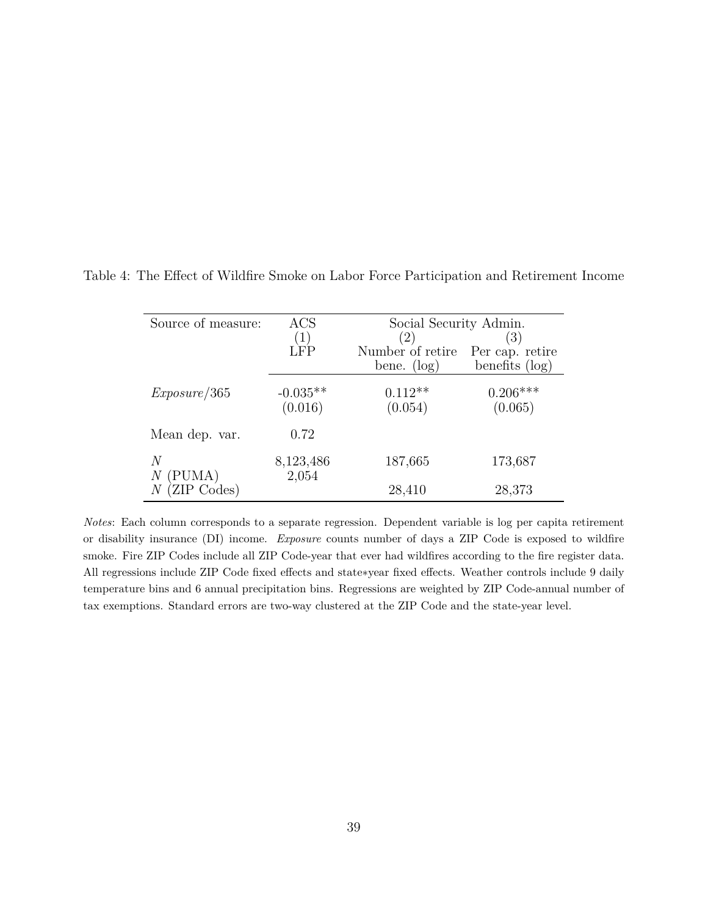| Source of measure: | ACS                | Social Security Admin.              |                   |  |
|--------------------|--------------------|-------------------------------------|-------------------|--|
|                    | $1^{\circ}$        | (2)                                 | (3)               |  |
|                    | LFP                | Number of retire<br>Per cap. retire |                   |  |
|                    |                    | bene. $(\log)$                      | benefits $(\log)$ |  |
| Exposure/365       | $-0.035**$         | $0.112**$                           | $0.206***$        |  |
|                    | (0.016)            | (0.054)                             | (0.065)           |  |
| Mean dep. var.     | 0.72               |                                     |                   |  |
| N<br>(PUMA)<br>Ν   | 8,123,486<br>2,054 | 187,665                             | 173,687           |  |
| ZIP Codes)         |                    | 28,410                              | 28,373            |  |

<span id="page-39-0"></span>Table 4: The Effect of Wildfire Smoke on Labor Force Participation and Retirement Income

*Notes*: Each column corresponds to a separate regression. Dependent variable is log per capita retirement or disability insurance (DI) income. *Exposure* counts number of days a ZIP Code is exposed to wildfire smoke. Fire ZIP Codes include all ZIP Code-year that ever had wildfires according to the fire register data. All regressions include ZIP Code fixed effects and state∗year fixed effects. Weather controls include 9 daily temperature bins and 6 annual precipitation bins. Regressions are weighted by ZIP Code-annual number of tax exemptions. Standard errors are two-way clustered at the ZIP Code and the state-year level.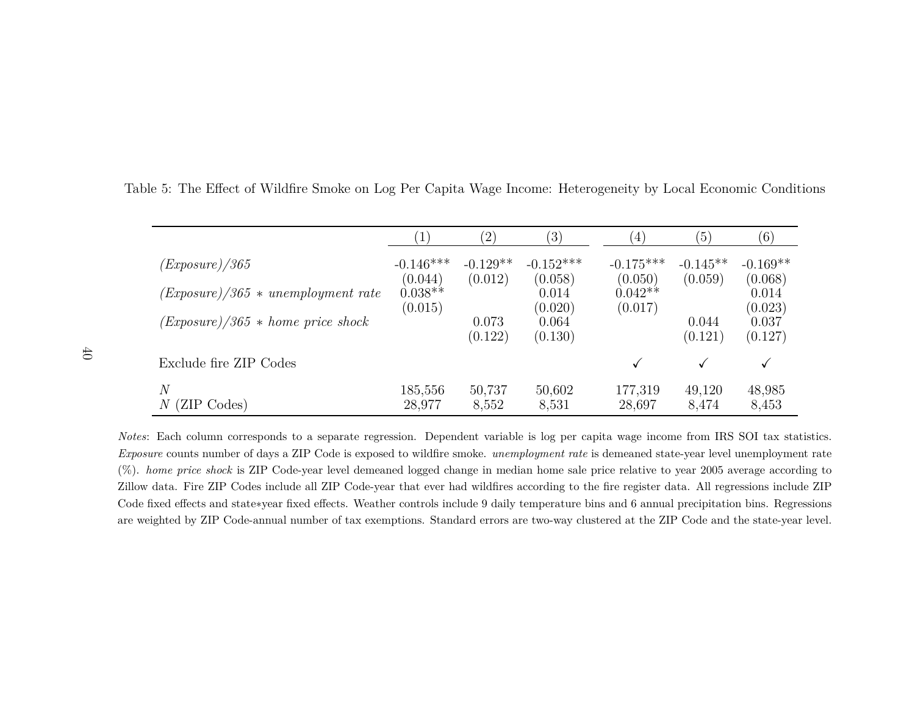|                                       | (1)                    | $\left( 2\right)$     | $\left( 3\right)$      | $\left( 4\right)$      | (5)                   | $\left( 6\right)$     |
|---------------------------------------|------------------------|-----------------------|------------------------|------------------------|-----------------------|-----------------------|
| (Exposure)/365                        | $-0.146***$<br>(0.044) | $-0.129**$<br>(0.012) | $-0.152***$<br>(0.058) | $-0.175***$<br>(0.050) | $-0.145**$<br>(0.059) | $-0.169**$<br>(0.068) |
| $(Exposure)/365 * un employment rate$ | $0.038**$<br>(0.015)   |                       | 0.014<br>(0.020)       | $0.042**$<br>(0.017)   |                       | 0.014<br>(0.023)      |
| $(Exposure)/365 * home price shock$   |                        | 0.073<br>(0.122)      | 0.064<br>(0.130)       |                        | 0.044<br>(0.121)      | 0.037<br>(0.127)      |
| Exclude fire ZIP Codes                |                        |                       |                        | $\checkmark$           | ✓                     | $\checkmark$          |
| $\,N$<br>$\,N$<br>(ZIP Codes)         | 185,556<br>28,977      | 50,737<br>8,552       | 50,602<br>8,531        | 177,319<br>28,697      | 49,120<br>8,474       | 48,985<br>8,453       |

Table 5: The Effect of Wildfire Smoke on Log Per Capita Wage Income: Heterogeneity by Local Economic Conditions

<span id="page-40-0"></span>*Notes*: Each column corresponds to <sup>a</sup> separate regression. Dependent variable is log per capita wage income from IRS SOI tax statistics.*Exposure* counts number of days <sup>a</sup> ZIP Code is exposed to wildfire smoke. *unemployment rate* is demeaned state-year level unemployment rate (%). *home price shock* is ZIP Code-year level demeaned logged change in median home sale price relative to year <sup>2005</sup> average according to Zillow data. Fire ZIP Codes include all ZIP Code-year that ever had wildfires according to the fire register data. All regressions include ZIP Code fixed effects and state<sup>∗</sup>year fixed effects. Weather controls include 9 daily temperature bins and 6 annual precipitation bins. Regressionsare weighted by ZIP Code-annual number of tax exemptions. Standard errors are two-way clustered at the ZIP Code and the state-year level.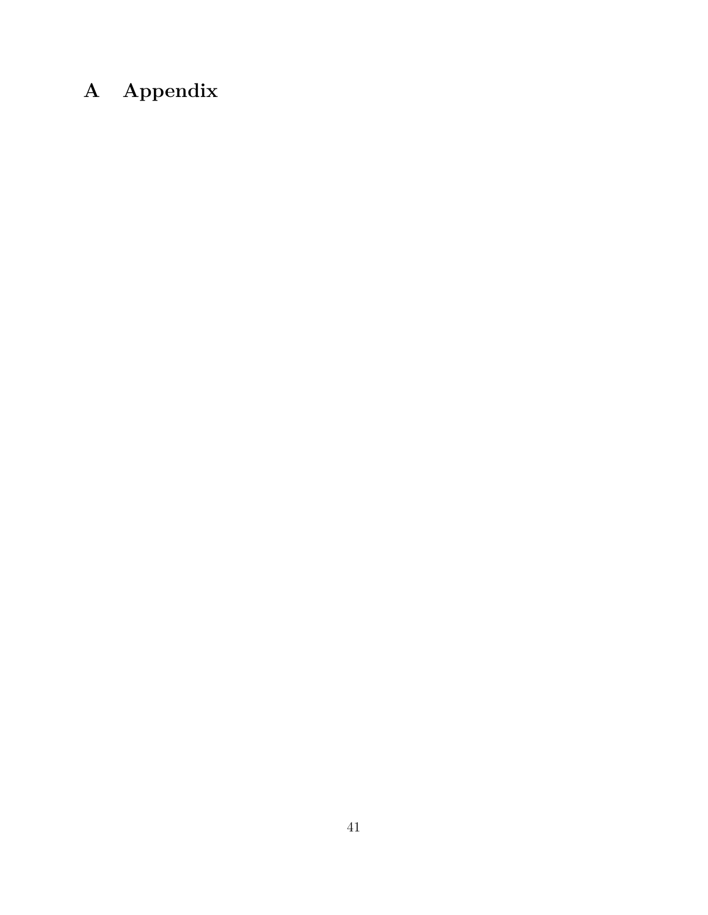# **A Appendix**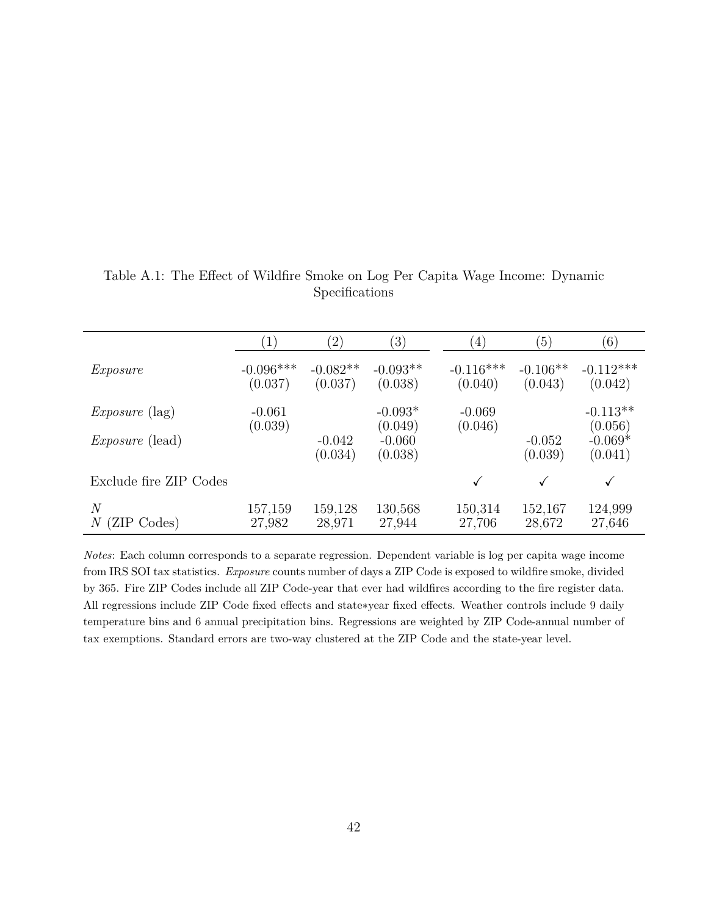|                           | $\left(1\right)$       | $\left( 2\right)$     | $\left(3\right)$               | (4)                    | $\left(5\right)$      | (6)                             |
|---------------------------|------------------------|-----------------------|--------------------------------|------------------------|-----------------------|---------------------------------|
| Exposure                  | $-0.096***$<br>(0.037) | $-0.082**$<br>(0.037) | $-0.093**$<br>(0.038)          | $-0.116***$<br>(0.040) | $-0.106**$<br>(0.043) | $-0.112***$<br>(0.042)          |
| <i>Exposure</i> (lag)     | $-0.061$               |                       | $-0.093*$                      | $-0.069$               |                       | $-0.113**$                      |
| <i>Exposure</i> (lead)    | (0.039)                | $-0.042$<br>(0.034)   | (0.049)<br>$-0.060$<br>(0.038) | (0.046)                | $-0.052$<br>(0.039)   | (0.056)<br>$-0.069*$<br>(0.041) |
| Exclude fire ZIP Codes    |                        |                       |                                |                        |                       | $\checkmark$                    |
| N<br>(ZIP Codes)<br>$\,N$ | 157,159<br>27,982      | 159,128<br>28,971     | 130,568<br>27,944              | 150,314<br>27,706      | 152,167<br>28,672     | 124,999<br>27,646               |

<span id="page-42-0"></span>Table A.1: The Effect of Wildfire Smoke on Log Per Capita Wage Income: Dynamic Specifications

*Notes*: Each column corresponds to a separate regression. Dependent variable is log per capita wage income from IRS SOI tax statistics. *Exposure* counts number of days a ZIP Code is exposed to wildfire smoke, divided by 365. Fire ZIP Codes include all ZIP Code-year that ever had wildfires according to the fire register data. All regressions include ZIP Code fixed effects and state∗year fixed effects. Weather controls include 9 daily temperature bins and 6 annual precipitation bins. Regressions are weighted by ZIP Code-annual number of tax exemptions. Standard errors are two-way clustered at the ZIP Code and the state-year level.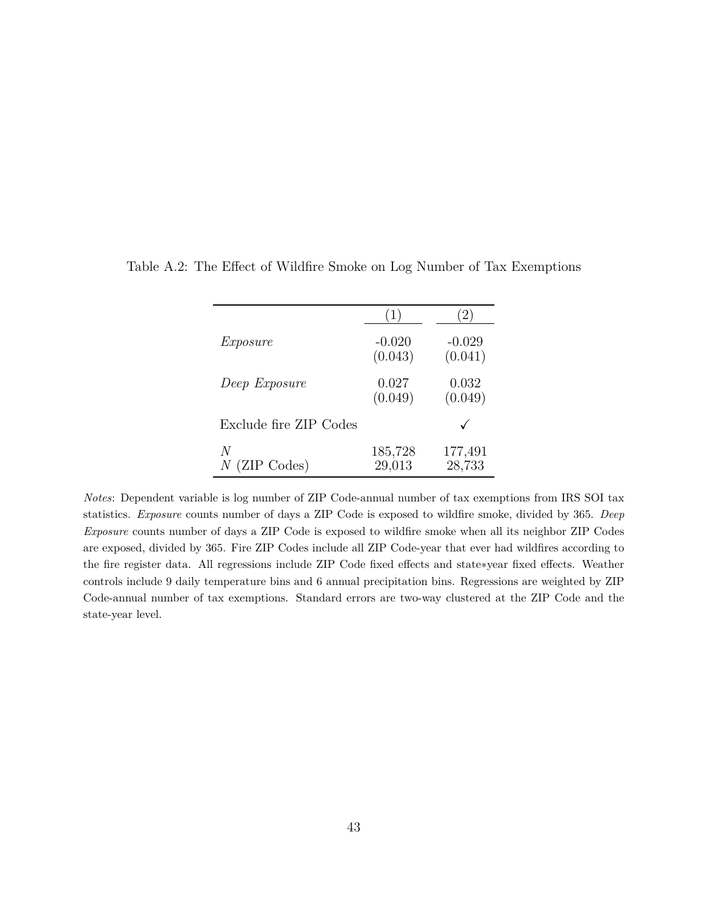| Exposure               | $-0.020$<br>(0.043) | $-0.029$<br>(0.041) |
|------------------------|---------------------|---------------------|
| Deep Exposure          | 0.027<br>(0.049)    | 0.032<br>(0.049)    |
| Exclude fire ZIP Codes |                     |                     |
| N<br>$N$ (ZIP Codes)   | 185,728<br>29,013   | 177,491<br>28,733   |

<span id="page-43-0"></span>Table A.2: The Effect of Wildfire Smoke on Log Number of Tax Exemptions

*Notes*: Dependent variable is log number of ZIP Code-annual number of tax exemptions from IRS SOI tax statistics. *Exposure* counts number of days a ZIP Code is exposed to wildfire smoke, divided by 365. *Deep Exposure* counts number of days a ZIP Code is exposed to wildfire smoke when all its neighbor ZIP Codes are exposed, divided by 365. Fire ZIP Codes include all ZIP Code-year that ever had wildfires according to the fire register data. All regressions include ZIP Code fixed effects and state∗year fixed effects. Weather controls include 9 daily temperature bins and 6 annual precipitation bins. Regressions are weighted by ZIP Code-annual number of tax exemptions. Standard errors are two-way clustered at the ZIP Code and the state-year level.